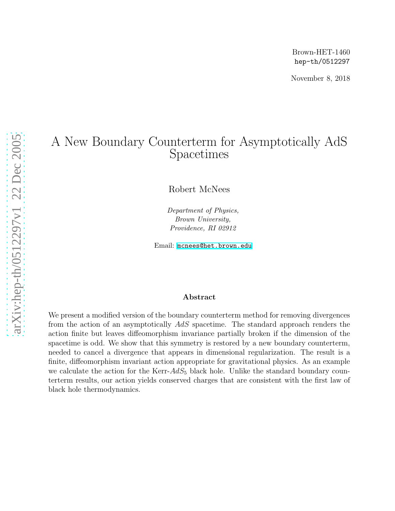November 8, 2018

# A New Boundary Counterterm for Asymptotically AdS Spacetimes

Robert McNees

Department of Physics, Brown University, Providence, RI 02912

Email: [mcnees@het.brown.edu](mailto:mcnees@het.brown.edu)

### Abstract

We present a modified version of the boundary counterterm method for removing divergences from the action of an asymptotically AdS spacetime. The standard approach renders the action finite but leaves diffeomorphism invariance partially broken if the dimension of the spacetime is odd. We show that this symmetry is restored by a new boundary counterterm, needed to cancel a divergence that appears in dimensional regularization. The result is a finite, diffeomorphism invariant action appropriate for gravitational physics. As an example we calculate the action for the Kerr- $AdS_5$  black hole. Unlike the standard boundary counterterm results, our action yields conserved charges that are consistent with the first law of black hole thermodynamics.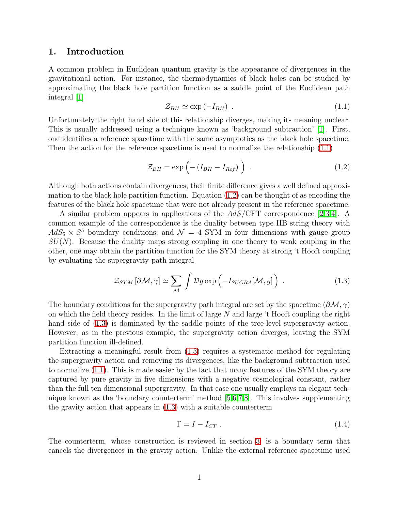## 1. Introduction

<span id="page-1-0"></span>A common problem in Euclidean quantum gravity is the appearance of divergences in the gravitational action. For instance, the thermodynamics of black holes can be studied by approximating the black hole partition function as a saddle point of the Euclidean path integral [\[1\]](#page-38-0)

<span id="page-1-1"></span>
$$
\mathcal{Z}_{BH} \simeq \exp\left(-I_{BH}\right) \tag{1.1}
$$

Unfortunately the right hand side of this relationship diverges, making its meaning unclear. This is usually addressed using a technique known as 'background subtraction' [\[1\]](#page-38-0). First, one identifies a reference spacetime with the same asymptotics as the black hole spacetime. Then the action for the reference spacetime is used to normalize the relationship [\(1.1\)](#page-1-0)

$$
\mathcal{Z}_{BH} = \exp\left(-\left(I_{BH} - I_{Ref}\right)\right) \tag{1.2}
$$

Although both actions contain divergences, their finite difference gives a well defined approximation to the black hole partition function. Equation  $(1.2)$  can be thought of as encoding the features of the black hole spacetime that were not already present in the reference spacetime.

A similar problem appears in applications of the AdS/CFT correspondence [\[2](#page-38-1)[,3,](#page-38-2)[4\]](#page-38-3). A common example of the correspondence is the duality between type IIB string theory with  $AdS_5 \times S^5$  boundary conditions, and  $\mathcal{N} = 4$  SYM in four dimensions with gauge group  $SU(N)$ . Because the duality maps strong coupling in one theory to weak coupling in the other, one may obtain the partition function for the SYM theory at strong 't Hooft coupling by evaluating the supergravity path integral

<span id="page-1-2"></span>
$$
\mathcal{Z}_{SYM} [\partial \mathcal{M}, \gamma] \simeq \sum_{\mathcal{M}} \int \mathcal{D}g \exp\left(-I_{SUGRA}[\mathcal{M}, g]\right) . \tag{1.3}
$$

The boundary conditions for the supergravity path integral are set by the spacetime  $(\partial \mathcal{M}, \gamma)$ on which the field theory resides. In the limit of large  $N$  and large  $\mathfrak t$  Hooft coupling the right hand side of  $(1.3)$  is dominated by the saddle points of the tree-level supergravity action. However, as in the previous example, the supergravity action diverges, leaving the SYM partition function ill-defined.

Extracting a meaningful result from [\(1.3\)](#page-1-2) requires a systematic method for regulating the supergravity action and removing its divergences, like the background subtraction used to normalize [\(1.1\)](#page-1-0). This is made easier by the fact that many features of the SYM theory are captured by pure gravity in five dimensions with a negative cosmological constant, rather than the full ten dimensional supergravity. In that case one usually employs an elegant technique known as the 'boundary counterterm' method [\[5](#page-38-4)[,6,](#page-38-5)[7,](#page-38-6)[8\]](#page-38-7). This involves supplementing the gravity action that appears in [\(1.3\)](#page-1-2) with a suitable counterterm

$$
\Gamma = I - I_{CT} \tag{1.4}
$$

The counterterm, whose construction is reviewed in section [3,](#page-10-0) is a boundary term that cancels the divergences in the gravity action. Unlike the external reference spacetime used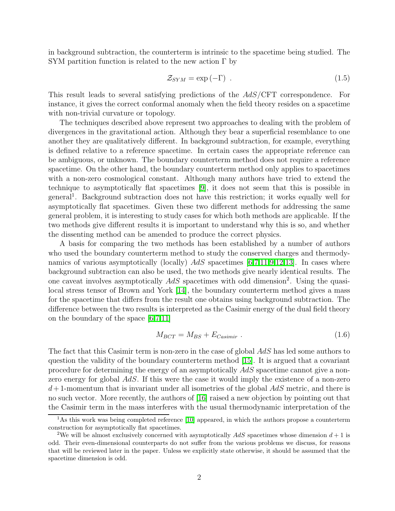in background subtraction, the counterterm is intrinsic to the spacetime being studied. The SYM partition function is related to the new action  $\Gamma$  by

$$
\mathcal{Z}_{SYM} = \exp\left(-\Gamma\right) \tag{1.5}
$$

This result leads to several satisfying predictions of the AdS/CFT correspondence. For instance, it gives the correct conformal anomaly when the field theory resides on a spacetime with non-trivial curvature or topology.

The techniques described above represent two approaches to dealing with the problem of divergences in the gravitational action. Although they bear a superficial resemblance to one another they are qualitatively different. In background subtraction, for example, everything is defined relative to a reference spacetime. In certain cases the appropriate reference can be ambiguous, or unknown. The boundary counterterm method does not require a reference spacetime. On the other hand, the boundary counterterm method only applies to spacetimes with a non-zero cosmological constant. Although many authors have tried to extend the technique to asymptotically flat spacetimes [\[9\]](#page-38-8), it does not seem that this is possible in general<sup>1</sup> . Background subtraction does not have this restriction; it works equally well for asymptotically flat spacetimes. Given these two different methods for addressing the same general problem, it is interesting to study cases for which both methods are applicable. If the two methods give different results it is important to understand why this is so, and whether the dissenting method can be amended to produce the correct physics.

A basis for comparing the two methods has been established by a number of authors who used the boundary counterterm method to study the conserved charges and thermodynamics of various asymptotically (locally)  $AdS$  spacetimes [\[6](#page-38-5)[,7](#page-38-6)[,11](#page-38-9)[,9](#page-38-8)[,12](#page-38-10)[,13\]](#page-38-11). In cases where background subtraction can also be used, the two methods give nearly identical results. The one caveat involves asymptotically  $AdS$  spacetimes with odd dimension<sup>2</sup>. Using the quasilocal stress tensor of Brown and York [\[14\]](#page-38-12), the boundary counterterm method gives a mass for the spacetime that differs from the result one obtains using background subtraction. The difference between the two results is interpreted as the Casimir energy of the dual field theory on the boundary of the space [\[6,](#page-38-5)[7](#page-38-6)[,11\]](#page-38-9)

$$
M_{BCT} = M_{BS} + E_{Casimir} . \t\t(1.6)
$$

The fact that this Casimir term is non-zero in the case of global AdS has led some authors to question the validity of the boundary counterterm method [\[15\]](#page-38-13). It is argued that a covariant procedure for determining the energy of an asymptotically AdS spacetime cannot give a nonzero energy for global AdS. If this were the case it would imply the existence of a non-zero  $d+1$ -momentum that is invariant under all isometries of the global  $AdS$  metric, and there is no such vector. More recently, the authors of [\[16\]](#page-39-0) raised a new objection by pointing out that the Casimir term in the mass interferes with the usual thermodynamic interpretation of the

<sup>&</sup>lt;sup>1</sup>As this work was being completed reference [\[10\]](#page-38-14) appeared, in which the authors propose a counterterm construction for asymptotically flat spacetimes.

<sup>&</sup>lt;sup>2</sup>We will be almost exclusively concerned with asymptotically  $AdS$  spacetimes whose dimension  $d+1$  is odd. Their even-dimensional counterparts do not suffer from the various problems we discuss, for reasons that will be reviewed later in the paper. Unless we explicitly state otherwise, it should be assumed that the spacetime dimension is odd.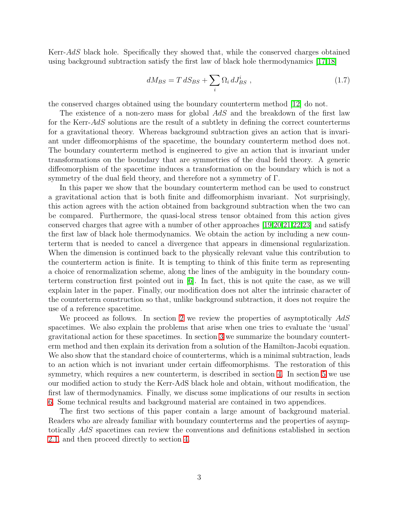Kerr-AdS black hole. Specifically they showed that, while the conserved charges obtained using background subtraction satisfy the first law of black hole thermodynamics [\[17](#page-39-1)[,18\]](#page-39-2)

$$
dM_{BS} = T dS_{BS} + \sum_{i} \Omega_i dJ_{BS}^i \t{,} \t(1.7)
$$

the conserved charges obtained using the boundary counterterm method [\[12\]](#page-38-10) do not.

The existence of a non-zero mass for global AdS and the breakdown of the first law for the Kerr-AdS solutions are the result of a subtlety in defining the correct counterterms for a gravitational theory. Whereas background subtraction gives an action that is invariant under diffeomorphisms of the spacetime, the boundary counterterm method does not. The boundary counterterm method is engineered to give an action that is invariant under transformations on the boundary that are symmetries of the dual field theory. A generic diffeomorphism of the spacetime induces a transformation on the boundary which is not a symmetry of the dual field theory, and therefore not a symmetry of Γ.

In this paper we show that the boundary counterterm method can be used to construct a gravitational action that is both finite and diffeomorphism invariant. Not surprisingly, this action agrees with the action obtained from background subtraction when the two can be compared. Furthermore, the quasi-local stress tensor obtained from this action gives conserved charges that agree with a number of other approaches [\[19](#page-39-3)[,20](#page-39-4)[,21](#page-39-5)[,22,](#page-39-6)[23\]](#page-39-7) and satisfy the first law of black hole thermodynamics. We obtain the action by including a new counterterm that is needed to cancel a divergence that appears in dimensional regularization. When the dimension is continued back to the physically relevant value this contribution to the counterterm action is finite. It is tempting to think of this finite term as representing a choice of renormalization scheme, along the lines of the ambiguity in the boundary counterterm construction first pointed out in [\[6\]](#page-38-5). In fact, this is not quite the case, as we will explain later in the paper. Finally, our modification does not alter the intrinsic character of the counterterm construction so that, unlike background subtraction, it does not require the use of a reference spacetime.

We proceed as follows. In section [2](#page-4-0) we review the properties of asymptotically  $AdS$ spacetimes. We also explain the problems that arise when one tries to evaluate the 'usual' gravitational action for these spacetimes. In section [3](#page-10-0) we summarize the boundary counterterm method and then explain its derivation from a solution of the Hamilton-Jacobi equation. We also show that the standard choice of counterterms, which is a minimal subtraction, leads to an action which is not invariant under certain diffeomorphisms. The restoration of this symmetry, which requires a new counterterm, is described in section [4.](#page-16-0) In section [5](#page-22-0) we use our modified action to study the Kerr-AdS black hole and obtain, without modification, the first law of thermodynamics. Finally, we discuss some implications of our results in section [6.](#page-32-0) Some technical results and background material are contained in two appendices.

The first two sections of this paper contain a large amount of background material. Readers who are already familiar with boundary counterterms and the properties of asymptotically AdS spacetimes can review the conventions and definitions established in section [2.1,](#page-4-1) and then proceed directly to section [4.](#page-16-0)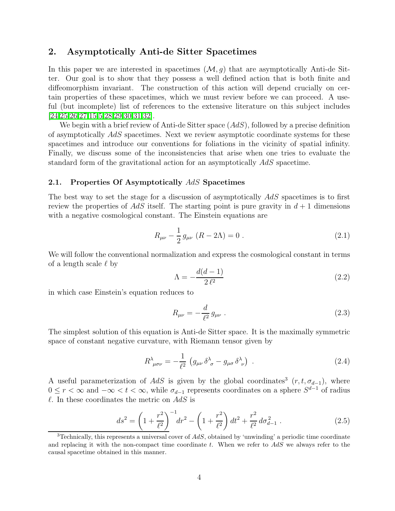## <span id="page-4-0"></span>2. Asymptotically Anti-de Sitter Spacetimes

In this paper we are interested in spacetimes  $(\mathcal{M}, g)$  that are asymptotically Anti-de Sitter. Our goal is to show that they possess a well defined action that is both finite and diffeomorphism invariant. The construction of this action will depend crucially on certain properties of these spacetimes, which we must review before we can proceed. A useful (but incomplete) list of references to the extensive literature on this subject includes [\[24,](#page-39-8)[25,](#page-39-9)[26,](#page-39-10)[27,](#page-39-11)[15,](#page-38-13)[5,](#page-38-4)[28,](#page-39-12)[29,](#page-39-13)[30,](#page-39-14)[31,](#page-39-15)[32\]](#page-39-16).

We begin with a brief review of Anti-de Sitter space  $(AdS)$ , followed by a precise definition of asymptotically AdS spacetimes. Next we review asymptotic coordinate systems for these spacetimes and introduce our conventions for foliations in the vicinity of spatial infinity. Finally, we discuss some of the inconsistencies that arise when one tries to evaluate the standard form of the gravitational action for an asymptotically AdS spacetime.

#### <span id="page-4-1"></span>2.1. Properties Of Asymptotically AdS Spacetimes

The best way to set the stage for a discussion of asymptotically AdS spacetimes is to first review the properties of AdS itself. The starting point is pure gravity in  $d+1$  dimensions with a negative cosmological constant. The Einstein equations are

$$
R_{\mu\nu} - \frac{1}{2} g_{\mu\nu} (R - 2\Lambda) = 0.
$$
 (2.1)

We will follow the conventional normalization and express the cosmological constant in terms of a length scale  $\ell$  by

<span id="page-4-2"></span>
$$
\Lambda = -\frac{d(d-1)}{2\,\ell^2} \tag{2.2}
$$

in which case Einstein's equation reduces to

<span id="page-4-4"></span>
$$
R_{\mu\nu} = -\frac{d}{\ell^2} g_{\mu\nu} \ . \tag{2.3}
$$

The simplest solution of this equation is Anti-de Sitter space. It is the maximally symmetric space of constant negative curvature, with Riemann tensor given by

<span id="page-4-3"></span>
$$
R^{\lambda}_{\ \mu\sigma\nu} = -\frac{1}{\ell^2} \left( g_{\mu\nu} \delta^{\lambda}_{\ \sigma} - g_{\mu\sigma} \delta^{\lambda}_{\ \nu} \right) \ . \tag{2.4}
$$

A useful parameterization of AdS is given by the global coordinates<sup>3</sup>  $(r, t, \sigma_{d-1})$ , where  $0 \leq r < \infty$  and  $-\infty < t < \infty$ , while  $\sigma_{d-1}$  represents coordinates on a sphere  $S^{d-1}$  of radius  $\ell$ . In these coordinates the metric on AdS is

$$
ds^{2} = \left(1 + \frac{r^{2}}{\ell^{2}}\right)^{-1} dr^{2} - \left(1 + \frac{r^{2}}{\ell^{2}}\right) dt^{2} + \frac{r^{2}}{\ell^{2}} d\sigma_{d-1}^{2} .
$$
 (2.5)

<sup>&</sup>lt;sup>3</sup>Technically, this represents a universal cover of  $AdS$ , obtained by 'unwinding' a periodic time coordinate and replacing it with the non-compact time coordinate t. When we refer to AdS we always refer to the causal spacetime obtained in this manner.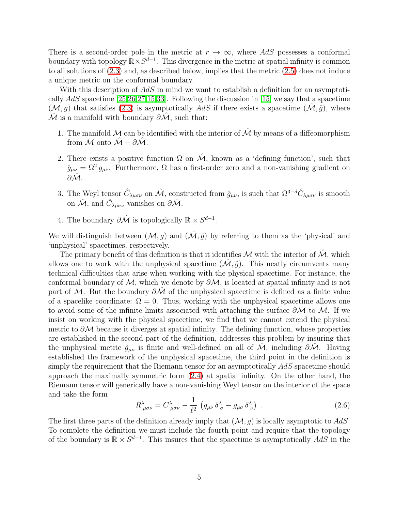There is a second-order pole in the metric at  $r \to \infty$ , where AdS possesses a conformal boundary with topology  $\mathbb{R} \times S^{d-1}$ . This divergence in the metric at spatial infinity is common to all solutions of [\(2.3\)](#page-4-2) and, as described below, implies that the metric [\(2.5\)](#page-4-3) does not induce a unique metric on the conformal boundary.

With this description of AdS in mind we want to establish a definition for an asymptotically  $AdS$  spacetime [\[25](#page-39-9)[,26](#page-39-10)[,27](#page-39-11)[,15,](#page-38-13)[33\]](#page-40-0). Following the discussion in [\[15\]](#page-38-13) we say that a spacetime  $(\mathcal{M}, g)$  that satisfies [\(2.3\)](#page-4-2) is asymptotically AdS if there exists a spacetime  $(\mathcal{M}, \hat{g})$ , where  $\hat{\mathcal{M}}$  is a manifold with boundary  $\partial \hat{\mathcal{M}}$ , such that:

- 1. The manifold M can be identified with the interior of  $\hat{\mathcal{M}}$  by means of a diffeomorphism from M onto  $\mathcal{\hat{M}} - \partial \mathcal{\hat{M}}$ .
- 2. There exists a positive function  $\Omega$  on  $\mathcal{M}$ , known as a 'defining function', such that  $\hat{g}_{\mu\nu} = \Omega^2 g_{\mu\nu}$ . Furthermore,  $\Omega$  has a first-order zero and a non-vanishing gradient on  $\partial \hat{\mathcal{M}}$  .
- 3. The Weyl tensor  $\hat{C}_{\lambda\mu\sigma\nu}$  on  $\hat{\mathcal{M}}$ , constructed from  $\hat{g}_{\mu\nu}$ , is such that  $\Omega^{3-d}\hat{C}_{\lambda\mu\sigma\nu}$  is smooth on  $\hat{\mathcal{M}}$ , and  $\hat{C}_{\lambda\mu\sigma\nu}$  vanishes on  $\partial\hat{\mathcal{M}}$ .
- 4. The boundary  $\partial \hat{\mathcal{M}}$  is topologically  $\mathbb{R} \times S^{d-1}$ .

We will distinguish between  $(\mathcal{M}, g)$  and  $(\hat{\mathcal{M}}, \hat{g})$  by referring to them as the 'physical' and 'unphysical' spacetimes, respectively.

The primary benefit of this definition is that it identifies M with the interior of  $\hat{\mathcal{M}}$ , which allows one to work with the unphysical spacetime  $(\mathcal{M}, \hat{q})$ . This neatly circumvents many technical difficulties that arise when working with the physical spacetime. For instance, the conformal boundary of  $\mathcal{M}$ , which we denote by  $\partial \mathcal{M}$ , is located at spatial infinity and is not part of M. But the boundary  $\partial M$  of the unphysical spacetime is defined as a finite value of a spacelike coordinate:  $\Omega = 0$ . Thus, working with the unphysical spacetime allows one to avoid some of the infinite limits associated with attaching the surface  $\partial M$  to M. If we insist on working with the physical spacetime, we find that we cannot extend the physical metric to  $\partial M$  because it diverges at spatial infinity. The defining function, whose properties are established in the second part of the definition, addresses this problem by insuring that the unphysical metric  $\hat{g}_{\mu\nu}$  is finite and well-defined on all of M, including  $\partial M$ . Having established the framework of the unphysical spacetime, the third point in the definition is simply the requirement that the Riemann tensor for an asymptotically AdS spacetime should approach the maximally symmetric form [\(2.4\)](#page-4-4) at spatial infinity. On the other hand, the Riemann tensor will generically have a non-vanishing Weyl tensor on the interior of the space and take the form

$$
R^{\lambda}_{\ \mu\sigma\nu} = C^{\lambda}_{\ \mu\sigma\nu} - \frac{1}{\ell^2} \left( g_{\mu\nu} \, \delta^{\lambda}_{\ \sigma} - g_{\mu\sigma} \, \delta^{\lambda}_{\ \nu} \right) \ . \tag{2.6}
$$

The first three parts of the definition already imply that  $(M, g)$  is locally asymptotic to  $AdS$ . To complete the definition we must include the fourth point and require that the topology of the boundary is  $\mathbb{R} \times S^{d-1}$ . This insures that the spacetime is asymptotically  $AdS$  in the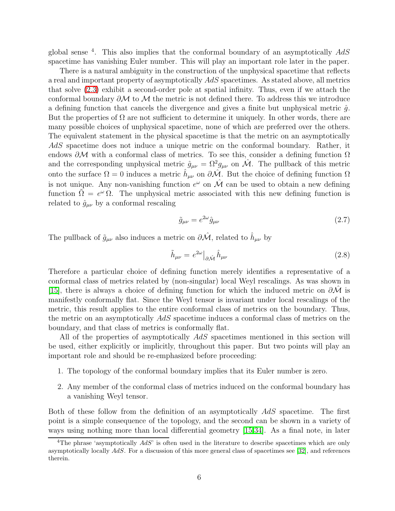global sense  $4$ . This also implies that the conformal boundary of an asymptotically  $AdS$ spacetime has vanishing Euler number. This will play an important role later in the paper.

There is a natural ambiguity in the construction of the unphysical spacetime that reflects a real and important property of asymptotically AdS spacetimes. As stated above, all metrics that solve [\(2.3\)](#page-4-2) exhibit a second-order pole at spatial infinity. Thus, even if we attach the conformal boundary  $\partial M$  to M the metric is not defined there. To address this we introduce a defining function that cancels the divergence and gives a finite but unphysical metric  $\hat{q}$ . But the properties of  $\Omega$  are not sufficient to determine it uniquely. In other words, there are many possible choices of unphysical spacetime, none of which are preferred over the others. The equivalent statement in the physical spacetime is that the metric on an asymptotically AdS spacetime does not induce a unique metric on the conformal boundary. Rather, it endows  $\partial M$  with a conformal class of metrics. To see this, consider a defining function  $\Omega$ and the corresponding unphysical metric  $\hat{g}_{\mu\nu} = \Omega^2 g_{\mu\nu}$  on  $\hat{\mathcal{M}}$ . The pullback of this metric onto the surface  $\Omega = 0$  induces a metric  $\hat{h}_{\mu\nu}$  on  $\partial \hat{\mathcal{M}}$ . But the choice of defining function  $\Omega$ is not unique. Any non-vanishing function  $e^{\omega}$  on  $\hat{\mathcal{M}}$  can be used to obtain a new defining function  $\tilde{\Omega} = e^{\omega} \Omega$ . The unphysical metric associated with this new defining function is related to  $\hat{g}_{\mu\nu}$  by a conformal rescaling

$$
\tilde{g}_{\mu\nu} = e^{2\omega} \hat{g}_{\mu\nu} \tag{2.7}
$$

The pullback of  $\tilde{g}_{\mu\nu}$  also induces a metric on  $\partial \hat{\mathcal{M}}$ , related to  $\hat{h}_{\mu\nu}$  by

$$
\tilde{h}_{\mu\nu} = e^{2\omega} \big|_{\partial \hat{\mathcal{M}}} \hat{h}_{\mu\nu} \tag{2.8}
$$

Therefore a particular choice of defining function merely identifies a representative of a conformal class of metrics related by (non-singular) local Weyl rescalings. As was shown in [\[15\]](#page-38-13), there is always a choice of defining function for which the induced metric on  $\partial M$  is manifestly conformally flat. Since the Weyl tensor is invariant under local rescalings of the metric, this result applies to the entire conformal class of metrics on the boundary. Thus, the metric on an asymptotically AdS spacetime induces a conformal class of metrics on the boundary, and that class of metrics is conformally flat.

All of the properties of asymptotically AdS spacetimes mentioned in this section will be used, either explicitly or implicitly, throughout this paper. But two points will play an important role and should be re-emphasized before proceeding:

- 1. The topology of the conformal boundary implies that its Euler number is zero.
- 2. Any member of the conformal class of metrics induced on the conformal boundary has a vanishing Weyl tensor.

Both of these follow from the definition of an asymptotically AdS spacetime. The first point is a simple consequence of the topology, and the second can be shown in a variety of ways using nothing more than local differential geometry [\[15](#page-38-13)[,34\]](#page-40-1). As a final note, in later

<sup>&</sup>lt;sup>4</sup>The phrase 'asymptotically  $AdS'$  is often used in the literature to describe spacetimes which are only asymptotically locally AdS. For a discussion of this more general class of spacetimes see [\[32\]](#page-39-16), and references therein.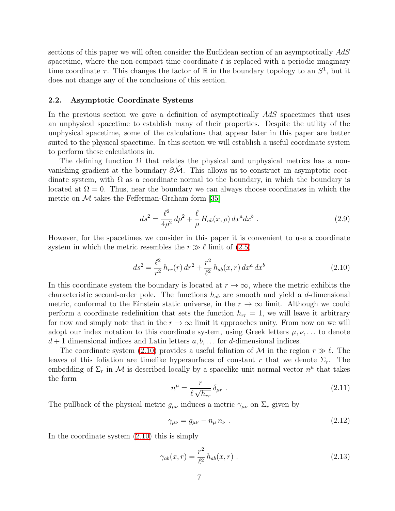sections of this paper we will often consider the Euclidean section of an asymptotically  $AdS$ spacetime, where the non-compact time coordinate  $t$  is replaced with a periodic imaginary time coordinate  $\tau$ . This changes the factor of R in the boundary topology to an  $S^1$ , but it does not change any of the conclusions of this section.

#### <span id="page-7-2"></span>2.2. Asymptotic Coordinate Systems

In the previous section we gave a definition of asymptotically AdS spacetimes that uses an unphysical spacetime to establish many of their properties. Despite the utility of the unphysical spacetime, some of the calculations that appear later in this paper are better suited to the physical spacetime. In this section we will establish a useful coordinate system to perform these calculations in.

The defining function  $\Omega$  that relates the physical and unphysical metrics has a nonvanishing gradient at the boundary  $\partial M$ . This allows us to construct an asymptotic coordinate system, with  $\Omega$  as a coordinate normal to the boundary, in which the boundary is located at  $\Omega = 0$ . Thus, near the boundary we can always choose coordinates in which the metric on  $\mathcal M$  takes the Fefferman-Graham form [\[35\]](#page-40-2)

<span id="page-7-0"></span>
$$
ds^{2} = \frac{\ell^{2}}{4\rho^{2}} d\rho^{2} + \frac{\ell}{\rho} H_{ab}(x,\rho) dx^{a} dx^{b} .
$$
 (2.9)

However, for the spacetimes we consider in this paper it is convenient to use a coordinate system in which the metric resembles the  $r \gg \ell$  limit of [\(2.5\)](#page-4-3)

$$
ds^{2} = \frac{\ell^{2}}{r^{2}} h_{rr}(r) dr^{2} + \frac{r^{2}}{\ell^{2}} h_{ab}(x, r) dx^{a} dx^{b}
$$
 (2.10)

In this coordinate system the boundary is located at  $r \to \infty$ , where the metric exhibits the characteristic second-order pole. The functions  $h_{ab}$  are smooth and yield a d-dimensional metric, conformal to the Einstein static universe, in the  $r \to \infty$  limit. Although we could perform a coordinate redefinition that sets the function  $h_{rr} = 1$ , we will leave it arbitrary for now and simply note that in the  $r \to \infty$  limit it approaches unity. From now on we will adopt our index notation to this coordinate system, using Greek letters  $\mu, \nu, \ldots$  to denote  $d+1$  dimensional indices and Latin letters  $a, b, \ldots$  for d-dimensional indices.

The coordinate system [\(2.10\)](#page-7-0) provides a useful foliation of M in the region  $r \gg \ell$ . The leaves of this foliation are timelike hypersurfaces of constant r that we denote  $\Sigma_r$ . The embedding of  $\Sigma_r$  in M is described locally by a spacelike unit normal vector  $n^{\mu}$  that takes the form

$$
n^{\mu} = \frac{r}{\ell \sqrt{h_{rr}}} \delta_{\mu r} \tag{2.11}
$$

The pullback of the physical metric  $g_{\mu\nu}$  induces a metric  $\gamma_{\mu\nu}$  on  $\Sigma_r$  given by

<span id="page-7-1"></span>
$$
\gamma_{\mu\nu} = g_{\mu\nu} - n_{\mu} n_{\nu} \tag{2.12}
$$

In the coordinate system [\(2.10\)](#page-7-0) this is simply

$$
\gamma_{ab}(x,r) = \frac{r^2}{\ell^2} h_{ab}(x,r) \ . \tag{2.13}
$$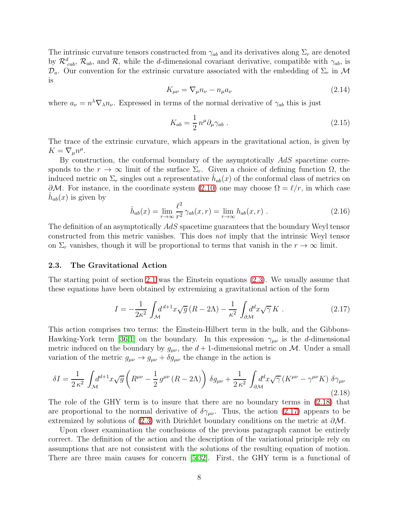The intrinsic curvature tensors constructed from  $\gamma_{ab}$  and its derivatives along  $\Sigma_r$  are denoted by  $\mathcal{R}_{cab}^d$ ,  $\mathcal{R}_{ab}$ , and  $\mathcal{R}_1$ , while the d-dimensional covariant derivative, compatible with  $\gamma_{ab}$ , is  $\mathcal{D}_a$ . Our convention for the extrinsic curvature associated with the embedding of  $\Sigma_r$  in M is

$$
K_{\mu\nu} = \nabla_{\mu} n_{\nu} - n_{\mu} a_{\nu} \tag{2.14}
$$

where  $a_{\nu} = n^{\lambda} \nabla_{\lambda} n_{\nu}$ . Expressed in terms of the normal derivative of  $\gamma_{ab}$  this is just

<span id="page-8-4"></span>
$$
K_{ab} = \frac{1}{2} n^{\mu} \partial_{\mu} \gamma_{ab} . \qquad (2.15)
$$

The trace of the extrinsic curvature, which appears in the gravitational action, is given by  $K = \nabla_{\mu} n^{\mu}.$ 

<span id="page-8-3"></span>By construction, the conformal boundary of the asymptotically AdS spacetime corresponds to the  $r \to \infty$  limit of the surface  $\Sigma_r$ . Given a choice of defining function  $\Omega$ , the induced metric on  $\Sigma_r$  singles out a representative  $\hat{h}_{ab}(x)$  of the conformal class of metrics on  $\partial M$ . For instance, in the coordinate system [\(2.10\)](#page-7-0) one may choose  $\Omega = \ell/r$ , in which case  $\hat{h}_{ab}(x)$  is given by

<span id="page-8-1"></span>
$$
\hat{h}_{ab}(x) = \lim_{r \to \infty} \frac{\ell^2}{r^2} \gamma_{ab}(x, r) = \lim_{r \to \infty} h_{ab}(x, r) . \tag{2.16}
$$

The definition of an asymptotically AdS spacetime guarantees that the boundary Weyl tensor constructed from this metric vanishes. This does not imply that the intrinsic Weyl tensor on  $\Sigma_r$  vanishes, though it will be proportional to terms that vanish in the  $r \to \infty$  limit.

#### <span id="page-8-2"></span>2.3. The Gravitational Action

The starting point of section [2.1](#page-4-1) was the Einstein equations [\(2.3\)](#page-4-2). We usually assume that these equations have been obtained by extremizing a gravitational action of the form

<span id="page-8-0"></span>
$$
I = -\frac{1}{2\kappa^2} \int_{\mathcal{M}} d^{d+1}x \sqrt{g} \left( R - 2\Lambda \right) - \frac{1}{\kappa^2} \int_{\partial \mathcal{M}} d^d x \sqrt{\gamma} K . \tag{2.17}
$$

This action comprises two terms: the Einstein-Hilbert term in the bulk, and the Gibbons-Hawking-York term [\[36,](#page-40-3)[1\]](#page-38-0) on the boundary. In this expression  $\gamma_{\mu\nu}$  is the d-dimensional metric induced on the boundary by  $g_{\mu\nu}$ , the  $d+1$ -dimensional metric on M. Under a small variation of the metric  $g_{\mu\nu} \rightarrow g_{\mu\nu} + \delta g_{\mu\nu}$  the change in the action is

$$
\delta I = \frac{1}{2\,\kappa^2} \int_{\mathcal{M}} d^{d+1}x \sqrt{g} \left( R^{\mu\nu} - \frac{1}{2} \, g^{\mu\nu} \left( R - 2\Lambda \right) \right) \delta g_{\mu\nu} + \frac{1}{2\,\kappa^2} \int_{\partial \mathcal{M}} d^d x \sqrt{\gamma} \left( K^{\mu\nu} - \gamma^{\mu\nu} K \right) \delta \gamma_{\mu\nu} \tag{2.18}
$$

The role of the GHY term is to insure that there are no boundary terms in [\(2.18\)](#page-8-0) that are proportional to the normal derivative of  $\delta \gamma_{\mu\nu}$ . Thus, the action [\(2.17\)](#page-8-1) appears to be extremized by solutions of [\(2.3\)](#page-4-2) with Dirichlet boundary conditions on the metric at  $\partial M$ .

Upon closer examination the conclusions of the previous paragraph cannot be entirely correct. The definition of the action and the description of the variational principle rely on assumptions that are not consistent with the solutions of the resulting equation of motion. There are three main causes for concern [\[5](#page-38-4)[,32\]](#page-39-16). First, the GHY term is a functional of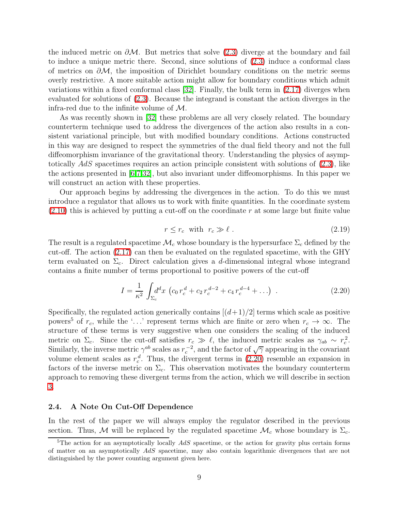the induced metric on  $\partial M$ . But metrics that solve [\(2.3\)](#page-4-2) diverge at the boundary and fail to induce a unique metric there. Second, since solutions of [\(2.3\)](#page-4-2) induce a conformal class of metrics on  $\partial M$ , the imposition of Dirichlet boundary conditions on the metric seems overly restrictive. A more suitable action might allow for boundary conditions which admit variations within a fixed conformal class [\[32\]](#page-39-16). Finally, the bulk term in [\(2.17\)](#page-8-1) diverges when evaluated for solutions of [\(2.3\)](#page-4-2). Because the integrand is constant the action diverges in the infra-red due to the infinite volume of  $\mathcal{M}$ .

As was recently shown in [\[32\]](#page-39-16) these problems are all very closely related. The boundary counterterm technique used to address the divergences of the action also results in a consistent variational principle, but with modified boundary conditions. Actions constructed in this way are designed to respect the symmetries of the dual field theory and not the full diffeomorphism invariance of the gravitational theory. Understanding the physics of asymptotically  $AdS$  spacetimes requires an action principle consistent with solutions of  $(2.3)$ , like the actions presented in [\[6,](#page-38-5)[7,](#page-38-6)[32\]](#page-39-16), but also invariant under diffeomorphisms. In this paper we will construct an action with these properties.

Our approach begins by addressing the divergences in the action. To do this we must introduce a regulator that allows us to work with finite quantities. In the coordinate system  $(2.10)$  this is achieved by putting a cut-off on the coordinate r at some large but finite value

<span id="page-9-0"></span>
$$
r \le r_c \quad \text{with} \quad r_c \gg \ell \tag{2.19}
$$

The result is a regulated spacetime  $\mathcal{M}_c$  whose boundary is the hypersurface  $\Sigma_c$  defined by the cut-off. The action [\(2.17\)](#page-8-1) can then be evaluated on the regulated spacetime, with the GHY term evaluated on  $\Sigma_c$ . Direct calculation gives a d-dimensional integral whose integrand contains a finite number of terms proportional to positive powers of the cut-off

$$
I = \frac{1}{\kappa^2} \int_{\Sigma_c} d^d x \, \left( c_0 \, r_c^d + c_2 \, r_c^{d-2} + c_4 \, r_c^{d-4} + \ldots \right) \,. \tag{2.20}
$$

Specifically, the regulated action generically contains  $[(d+1)/2]$  terms which scale as positive powers<sup>5</sup> of  $r_c$ , while the '...' represent terms which are finite or zero when  $r_c \to \infty$ . The structure of these terms is very suggestive when one considers the scaling of the induced metric on  $\Sigma_c$ . Since the cut-off satisfies  $r_c \gg \ell$ , the induced metric scales as  $\gamma_{ab} \sim r_c^2$ . Similarly, the inverse metric  $\gamma^{ab}$  scales as  $r_c^{-2}$ , and the factor of  $\sqrt{\gamma}$  appearing in the covariant volume element scales as  $r_c^d$ . Thus, the divergent terms in [\(2.20\)](#page-9-0) resemble an expansion in factors of the inverse metric on  $\Sigma_c$ . This observation motivates the boundary counterterm approach to removing these divergent terms from the action, which we will describe in section [3.](#page-10-0)

#### 2.4. A Note On Cut-Off Dependence

In the rest of the paper we will always employ the regulator described in the previous section. Thus, M will be replaced by the regulated spacetime  $\mathcal{M}_c$  whose boundary is  $\Sigma_c$ .

 $5$ The action for an asymptotically locally  $AdS$  spacetime, or the action for gravity plus certain forms of matter on an asymptotically AdS spacetime, may also contain logarithmic divergences that are not distinguished by the power counting argument given here.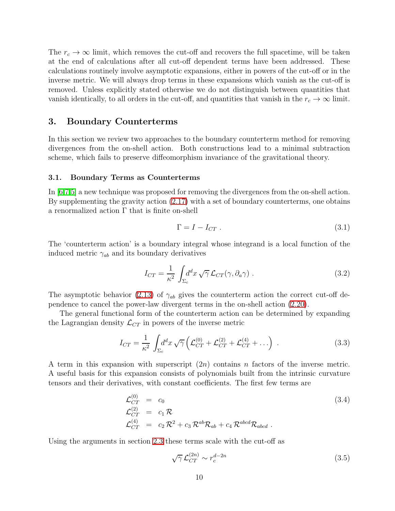The  $r_c \to \infty$  limit, which removes the cut-off and recovers the full spacetime, will be taken at the end of calculations after all cut-off dependent terms have been addressed. These calculations routinely involve asymptotic expansions, either in powers of the cut-off or in the inverse metric. We will always drop terms in these expansions which vanish as the cut-off is removed. Unless explicitly stated otherwise we do not distinguish between quantities that vanish identically, to all orders in the cut-off, and quantities that vanish in the  $r_c \to \infty$  limit.

## <span id="page-10-0"></span>3. Boundary Counterterms

In this section we review two approaches to the boundary counterterm method for removing divergences from the on-shell action. Both constructions lead to a minimal subtraction scheme, which fails to preserve diffeomorphism invariance of the gravitational theory.

#### <span id="page-10-3"></span>3.1. Boundary Terms as Counterterms

In [\[6](#page-38-5)[,7,](#page-38-6)[5\]](#page-38-4) a new technique was proposed for removing the divergences from the on-shell action. By supplementing the gravity action [\(2.17\)](#page-8-1) with a set of boundary counterterms, one obtains a renormalized action Γ that is finite on-shell

<span id="page-10-2"></span>
$$
\Gamma = I - I_{CT} \tag{3.1}
$$

The 'counterterm action' is a boundary integral whose integrand is a local function of the induced metric  $\gamma_{ab}$  and its boundary derivatives

<span id="page-10-4"></span>
$$
I_{CT} = \frac{1}{\kappa^2} \int_{\Sigma_c} d^d x \sqrt{\gamma} \mathcal{L}_{CT}(\gamma, \partial_a \gamma) . \tag{3.2}
$$

The asymptotic behavior [\(2.13\)](#page-7-1) of  $\gamma_{ab}$  gives the counterterm action the correct cut-off dependence to cancel the power-law divergent terms in the on-shell action [\(2.20\)](#page-9-0).

The general functional form of the counterterm action can be determined by expanding the Lagrangian density  $\mathcal{L}_{CT}$  in powers of the inverse metric

$$
I_{CT} = \frac{1}{\kappa^2} \int_{\Sigma_c} d^d x \sqrt{\gamma} \left( \mathcal{L}_{CT}^{(0)} + \mathcal{L}_{CT}^{(2)} + \mathcal{L}_{CT}^{(4)} + \ldots \right) . \tag{3.3}
$$

A term in this expansion with superscript  $(2n)$  contains n factors of the inverse metric. A useful basis for this expansion consists of polynomials built from the intrinsic curvature tensors and their derivatives, with constant coefficients. The first few terms are

<span id="page-10-1"></span>
$$
\mathcal{L}_{CT}^{(0)} = c_0
$$
\n
$$
\mathcal{L}_{CT}^{(2)} = c_1 \mathcal{R}
$$
\n
$$
\mathcal{L}_{CT}^{(4)} = c_2 \mathcal{R}^2 + c_3 \mathcal{R}^{ab} \mathcal{R}_{ab} + c_4 \mathcal{R}^{abcd} \mathcal{R}_{abcd} .
$$
\n(3.4)

Using the arguments in section [2.3](#page-8-2) these terms scale with the cut-off as

$$
\sqrt{\gamma} \mathcal{L}_{CT}^{(2n)} \sim r_c^{d-2n} \tag{3.5}
$$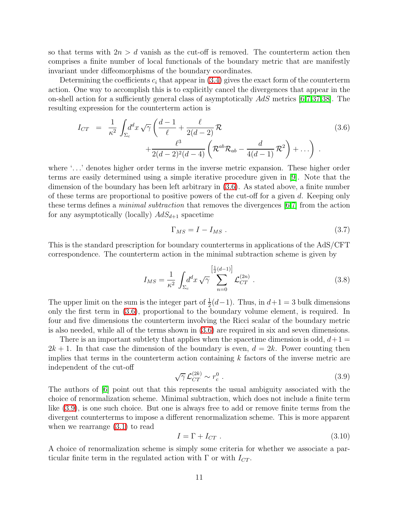so that terms with  $2n > d$  vanish as the cut-off is removed. The counterterm action then comprises a finite number of local functionals of the boundary metric that are manifestly invariant under diffeomorphisms of the boundary coordinates.

Determining the coefficients  $c_i$  that appear in  $(3.4)$  gives the exact form of the counterterm action. One way to accomplish this is to explicitly cancel the divergences that appear in the on-shell action for a sufficiently general class of asymptotically AdS metrics [\[6](#page-38-5)[,7](#page-38-6)[,37](#page-40-4)[,38\]](#page-40-5). The resulting expression for the counterterm action is

<span id="page-11-0"></span>
$$
I_{CT} = \frac{1}{\kappa^2} \int_{\Sigma_c} d^d x \sqrt{\gamma} \left( \frac{d-1}{\ell} + \frac{\ell}{2(d-2)} \mathcal{R} + \frac{\ell^3}{2(d-2)^2(d-4)} \left( \mathcal{R}^{ab} \mathcal{R}_{ab} - \frac{d}{4(d-1)} \mathcal{R}^2 \right) + \dots \right) .
$$
 (3.6)

where '...' denotes higher order terms in the inverse metric expansion. These higher order terms are easily determined using a simple iterative procedure given in [\[9\]](#page-38-8). Note that the dimension of the boundary has been left arbitrary in [\(3.6\)](#page-11-0). As stated above, a finite number of these terms are proportional to positive powers of the cut-off for a given  $d$ . Keeping only these terms defines a minimal subtraction that removes the divergences [\[6](#page-38-5)[,7\]](#page-38-6) from the action for any asymptotically (locally)  $AdS_{d+1}$  spacetime

<span id="page-11-2"></span>
$$
\Gamma_{MS} = I - I_{MS} \tag{3.7}
$$

This is the standard prescription for boundary counterterms in applications of the AdS/CFT correspondence. The counterterm action in the minimal subtraction scheme is given by

$$
I_{MS} = \frac{1}{\kappa^2} \int_{\Sigma_c} d^d x \sqrt{\gamma} \sum_{n=0}^{\left[\frac{1}{2}(d-1)\right]} \mathcal{L}_{CT}^{(2n)} . \tag{3.8}
$$

The upper limit on the sum is the integer part of  $\frac{1}{2}(d-1)$ . Thus, in  $d+1=3$  bulk dimensions only the first term in [\(3.6\)](#page-11-0), proportional to the boundary volume element, is required. In four and five dimensions the counterterm involving the Ricci scalar of the boundary metric is also needed, while all of the terms shown in [\(3.6\)](#page-11-0) are required in six and seven dimensions.

<span id="page-11-1"></span>There is an important subtlety that applies when the spacetime dimension is odd,  $d+1$  $2k+1$ . In that case the dimension of the boundary is even,  $d=2k$ . Power counting then implies that terms in the counterterm action containing  $k$  factors of the inverse metric are independent of the cut-off

$$
\sqrt{\gamma} \mathcal{L}_{CT}^{(2k)} \sim r_c^0 \tag{3.9}
$$

The authors of [\[6\]](#page-38-5) point out that this represents the usual ambiguity associated with the choice of renormalization scheme. Minimal subtraction, which does not include a finite term like [\(3.9\)](#page-11-1), is one such choice. But one is always free to add or remove finite terms from the divergent counterterms to impose a different renormalization scheme. This is more apparent when we rearrange [\(3.1\)](#page-10-2) to read

$$
I = \Gamma + I_{CT} \tag{3.10}
$$

A choice of renormalization scheme is simply some criteria for whether we associate a particular finite term in the regulated action with  $\Gamma$  or with  $I_{CT}$ .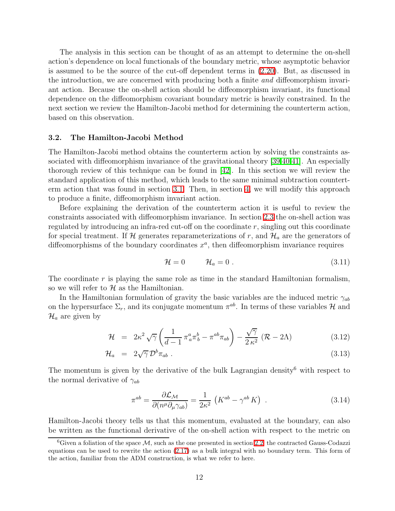The analysis in this section can be thought of as an attempt to determine the on-shell action's dependence on local functionals of the boundary metric, whose asymptotic behavior is assumed to be the source of the cut-off dependent terms in [\(2.20\)](#page-9-0). But, as discussed in the introduction, we are concerned with producing both a finite and diffeomorphism invariant action. Because the on-shell action should be diffeomorphism invariant, its functional dependence on the diffeomorphism covariant boundary metric is heavily constrained. In the next section we review the Hamilton-Jacobi method for determining the counterterm action, based on this observation.

#### 3.2. The Hamilton-Jacobi Method

The Hamilton-Jacobi method obtains the counterterm action by solving the constraints associated with diffeomorphism invariance of the gravitational theory [\[39](#page-40-6)[,40](#page-40-7)[,41\]](#page-40-8). An especially thorough review of this technique can be found in [\[42\]](#page-40-9). In this section we will review the standard application of this method, which leads to the same minimal subtraction counterterm action that was found in section [3.1.](#page-10-3) Then, in section [4,](#page-16-0) we will modify this approach to produce a finite, diffeomorphism invariant action.

Before explaining the derivation of the counterterm action it is useful to review the constraints associated with diffeomorphism invariance. In section [2.3](#page-8-2) the on-shell action was regulated by introducing an infra-red cut-off on the coordinate  $r$ , singling out this coordinate for special treatment. If H generates reparameterizations of r, and  $\mathcal{H}_a$  are the generators of diffeomorphisms of the boundary coordinates  $x^a$ , then diffeomorphism invariance requires

$$
\mathcal{H} = 0 \qquad \mathcal{H}_a = 0 \tag{3.11}
$$

The coordinate  $r$  is playing the same role as time in the standard Hamiltonian formalism, so we will refer to  $\mathcal H$  as the Hamiltonian.

In the Hamiltonian formulation of gravity the basic variables are the induced metric  $\gamma_{ab}$ on the hypersurface  $\Sigma_r$ , and its conjugate momentum  $\pi^{ab}$ . In terms of these variables  $\mathcal H$  and  $\mathcal{H}_a$  are given by

$$
\mathcal{H} = 2\kappa^2 \sqrt{\gamma} \left( \frac{1}{d-1} \pi_a^a \pi_b^b - \pi^{ab} \pi_{ab} \right) - \frac{\sqrt{\gamma}}{2\kappa^2} \left( \mathcal{R} - 2\Lambda \right) \tag{3.12}
$$

<span id="page-12-1"></span>
$$
\mathcal{H}_a = 2\sqrt{\gamma} \,\mathcal{D}^b \pi_{ab} \,. \tag{3.13}
$$

<span id="page-12-0"></span>The momentum is given by the derivative of the bulk Lagrangian density<sup>6</sup> with respect to the normal derivative of  $\gamma_{ab}$ 

$$
\pi^{ab} = \frac{\partial \mathcal{L}_{\mathcal{M}}}{\partial (n^{\mu} \partial_{\mu} \gamma_{ab})} = \frac{1}{2\kappa^2} \left( K^{ab} - \gamma^{ab} K \right) . \tag{3.14}
$$

Hamilton-Jacobi theory tells us that this momentum, evaluated at the boundary, can also be written as the functional derivative of the on-shell action with respect to the metric on

 ${}^{6}$ Given a foliation of the space  $M$ , such as the one presented in section [2.2,](#page-7-2) the contracted Gauss-Codazzi equations can be used to rewrite the action [\(2.17\)](#page-8-1) as a bulk integral with no boundary term. This form of the action, familiar from the ADM construction, is what we refer to here.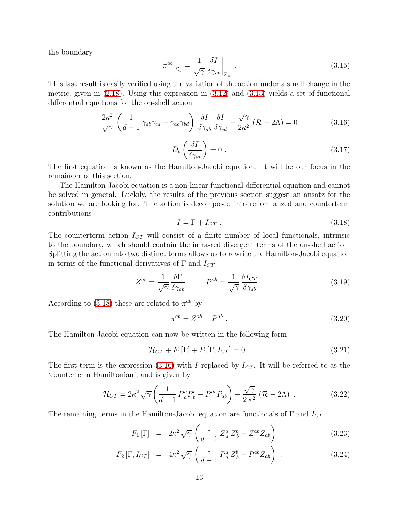the boundary

<span id="page-13-1"></span>
$$
\pi^{ab}\big|_{\Sigma_c} = \frac{1}{\sqrt{\gamma}} \frac{\delta I}{\delta \gamma_{ab}}\bigg|_{\Sigma_c} . \tag{3.15}
$$

This last result is easily verified using the variation of the action under a small change in the metric, given in [\(2.18\)](#page-8-0). Using this expression in [\(3.12\)](#page-12-0) and [\(3.13\)](#page-12-0) yields a set of functional differential equations for the on-shell action

$$
\frac{2\kappa^2}{\sqrt{\gamma}} \left( \frac{1}{d-1} \gamma_{ab} \gamma_{cd} - \gamma_{ac} \gamma_{bd} \right) \frac{\delta I}{\delta \gamma_{ab}} \frac{\delta I}{\delta \gamma_{cd}} - \frac{\sqrt{\gamma}}{2\kappa^2} \left( \mathcal{R} - 2\Lambda \right) = 0 \tag{3.16}
$$

$$
D_b \left( \frac{\delta I}{\delta \gamma_{ab}} \right) = 0 \tag{3.17}
$$

The first equation is known as the Hamilton-Jacobi equation. It will be our focus in the remainder of this section.

<span id="page-13-0"></span>The Hamilton-Jacobi equation is a non-linear functional differential equation and cannot be solved in general. Luckily, the results of the previous section suggest an ansatz for the solution we are looking for. The action is decomposed into renormalized and counterterm contributions

<span id="page-13-4"></span>
$$
I = \Gamma + I_{CT} \tag{3.18}
$$

The counterterm action  $I_{CT}$  will consist of a finite number of local functionals, intrinsic to the boundary, which should contain the infra-red divergent terms of the on-shell action. Splitting the action into two distinct terms allows us to rewrite the Hamilton-Jacobi equation in terms of the functional derivatives of  $\Gamma$  and  $I_{CT}$ 

<span id="page-13-5"></span>
$$
Z^{ab} = \frac{1}{\sqrt{\gamma}} \frac{\delta \Gamma}{\delta \gamma_{ab}} \qquad P^{ab} = \frac{1}{\sqrt{\gamma}} \frac{\delta I_{CT}}{\delta \gamma_{ab}} \,. \tag{3.19}
$$

According to [\(3.18\)](#page-13-0) these are related to  $\pi^{ab}$  by

<span id="page-13-2"></span>
$$
\pi^{ab} = Z^{ab} + P^{ab} \ . \tag{3.20}
$$

The Hamilton-Jacobi equation can now be written in the following form

<span id="page-13-3"></span>
$$
\mathcal{H}_{CT} + F_1[\Gamma] + F_2[\Gamma, I_{CT}] = 0.
$$
\n(3.21)

The first term is the expression [\(3.16\)](#page-13-1) with I replaced by  $I_{CT}$ . It will be referred to as the 'counterterm Hamiltonian', and is given by

$$
\mathcal{H}_{CT} = 2\kappa^2 \sqrt{\gamma} \left( \frac{1}{d-1} P_a^a P_b^b - P^{ab} P_{ab} \right) - \frac{\sqrt{\gamma}}{2\kappa^2} \left( \mathcal{R} - 2\Lambda \right) . \tag{3.22}
$$

The remaining terms in the Hamilton-Jacobi equation are functionals of  $\Gamma$  and  $I_{CT}$ 

$$
F_1\left[\Gamma\right] = 2\kappa^2 \sqrt{\gamma} \left(\frac{1}{d-1} Z_a^a Z_b^b - Z^{ab} Z_{ab}\right) \tag{3.23}
$$

$$
F_2\left[\Gamma, I_{CT}\right] = 4\kappa^2 \sqrt{\gamma} \left(\frac{1}{d-1} P_a^a Z_b^b - P^{ab} Z_{ab}\right) . \tag{3.24}
$$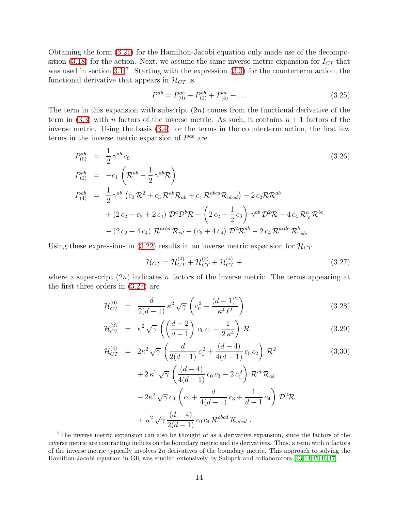Obtaining the form [\(3.21\)](#page-13-2) for the Hamilton-Jacobi equation only made use of the decompo-sition [\(3.18\)](#page-13-0) for the action. Next, we assume the same inverse metric expansion for  $I_{CT}$  that was used in section [3.1](#page-10-3)<sup>7</sup>. Starting with the expression  $(3.3)$  for the counterterm action, the functional derivative that appears in  $\mathcal{H}_{CT}$  is

$$
P^{ab} = P_{(0)}^{ab} + P_{(2)}^{ab} + P_{(4)}^{ab} + \dots
$$
\n(3.25)

The term in this expansion with subscript  $(2n)$  comes from the functional derivative of the term in [\(3.3\)](#page-10-4) with n factors of the inverse metric. As such, it contains  $n + 1$  factors of the inverse metric. Using the basis [\(3.4\)](#page-10-1) for the terms in the counterterm action, the first few terms in the inverse metric expansion of  $P^{ab}$  are

$$
P_{(0)}^{ab} = \frac{1}{2} \gamma^{ab} c_0
$$
\n
$$
P_{(2)}^{ab} = -c_1 \left( \mathcal{R}^{ab} - \frac{1}{2} \gamma^{ab} \mathcal{R} \right)
$$
\n
$$
P_{(4)}^{ab} = \frac{1}{2} \gamma^{ab} \left( c_2 \mathcal{R}^2 + c_3 \mathcal{R}^{ab} \mathcal{R}_{ab} + c_4 \mathcal{R}^{abcd} \mathcal{R}_{abcd} \right) - 2 c_2 \mathcal{R} \mathcal{R}^{ab}
$$
\n
$$
+ (2 c_2 + c_3 + 2 c_4) \mathcal{D}^a \mathcal{D}^b \mathcal{R} - \left( 2 c_2 + \frac{1}{2} c_3 \right) \gamma^{ab} \mathcal{D}^2 \mathcal{R} + 4 c_4 \mathcal{R}_c^a \mathcal{R}^{bc}
$$
\n
$$
- (2 c_2 + 4 c_4) \mathcal{R}^{acbd} \mathcal{R}_{cd} - (c_3 + 4 c_4) \mathcal{D}^2 \mathcal{R}^{ab} - 2 c_4 \mathcal{R}^{acde} \mathcal{R}_{cde}^b
$$
\n
$$
(3.26)
$$

Using these expressions in [\(3.22\)](#page-13-3) results in an inverse metric expansion for  $\mathcal{H}_{CT}$ 

<span id="page-14-0"></span>
$$
\mathcal{H}_{CT} = \mathcal{H}_{CT}^{(0)} + \mathcal{H}_{CT}^{(2)} + \mathcal{H}_{CT}^{(4)} + \dots
$$
 (3.27)

<span id="page-14-1"></span>where a superscript  $(2n)$  indicates n factors of the inverse metric. The terms appearing at the first three orders in [\(3.27\)](#page-14-0) are

$$
\mathcal{H}_{CT}^{(0)} = \frac{d}{2(d-1)} \kappa^2 \sqrt{\gamma} \left( c_0^2 - \frac{(d-1)^2}{\kappa^4 \ell^2} \right) \tag{3.28}
$$

$$
\mathcal{H}_{CT}^{(2)} = \kappa^2 \sqrt{\gamma} \left( \left( \frac{d-2}{d-1} \right) c_0 c_1 - \frac{1}{2 \kappa^4} \right) \mathcal{R} \tag{3.29}
$$

$$
\mathcal{H}_{CT}^{(4)} = 2\kappa^2 \sqrt{\gamma} \left( \frac{d}{2(d-1)} c_1^2 + \frac{(d-4)}{4(d-1)} c_0 c_2 \right) \mathcal{R}^2 \tag{3.30}
$$

$$
+ 2 \kappa^2 \sqrt{\gamma} \left( \frac{(d-4)}{4(d-1)} c_0 c_3 - 2 c_1^2 \right) \mathcal{R}^{ab} \mathcal{R}_{ab} - 2 \kappa^2 \sqrt{\gamma} c_0 \left( c_2 + \frac{d}{4(d-1)} c_3 + \frac{1}{d-1} c_4 \right) \mathcal{D}^2 \mathcal{R} + \kappa^2 \sqrt{\gamma} \frac{(d-4)}{2(d-1)} c_0 c_4 \mathcal{R}^{abcd} \mathcal{R}_{abcd} .
$$

<sup>7</sup>The inverse metric expansion can also be thought of as a derivative expansion, since the factors of the inverse metric are contracting indices on the boundary metric and its derivatives. Thus, a term with n factors of the inverse metric typically involves  $2n$  derivatives of the boundary metric. This approach to solving the Hamilton-Jacobi equation in GR was studied extensively by Salopek and collaborators [\[43](#page-40-10)[,44](#page-40-11)[,45,](#page-40-12)[46](#page-40-13)[,47\]](#page-40-14).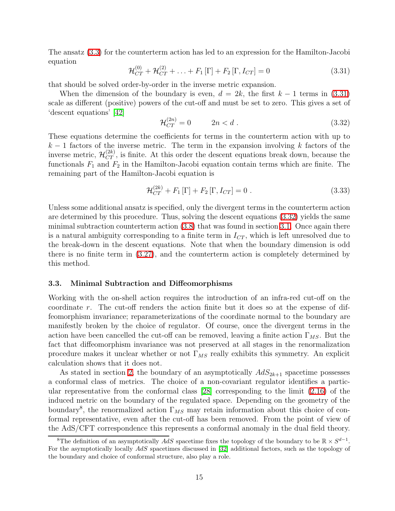<span id="page-15-0"></span>The ansatz [\(3.3\)](#page-10-4) for the counterterm action has led to an expression for the Hamilton-Jacobi equation

$$
\mathcal{H}_{CT}^{(0)} + \mathcal{H}_{CT}^{(2)} + \ldots + F_1 [\Gamma] + F_2 [\Gamma, I_{CT}] = 0
$$
\n(3.31)

that should be solved order-by-order in the inverse metric expansion.

<span id="page-15-1"></span>When the dimension of the boundary is even,  $d = 2k$ , the first  $k - 1$  terms in [\(3.31\)](#page-15-0) scale as different (positive) powers of the cut-off and must be set to zero. This gives a set of 'descent equations' [\[42\]](#page-40-9)

$$
\mathcal{H}_{CT}^{(2n)} = 0 \qquad 2n < d \tag{3.32}
$$

These equations determine the coefficients for terms in the counterterm action with up to  $k-1$  factors of the inverse metric. The term in the expansion involving k factors of the inverse metric,  $\mathcal{H}_{CT}^{(2k)}$ , is finite. At this order the descent equations break down, because the functionals  $F_1$  and  $F_2$  in the Hamilton-Jacobi equation contain terms which are finite. The remaining part of the Hamilton-Jacobi equation is

<span id="page-15-2"></span>
$$
\mathcal{H}_{CT}^{(2k)} + F_1 [\Gamma] + F_2 [\Gamma, I_{CT}] = 0.
$$
\n(3.33)

Unless some additional ansatz is specified, only the divergent terms in the counterterm action are determined by this procedure. Thus, solving the descent equations [\(3.32\)](#page-15-1) yields the same minimal subtraction counterterm action [\(3.8\)](#page-11-2) that was found in section [3.1.](#page-10-3) Once again there is a natural ambiguity corresponding to a finite term in  $I_{CT}$ , which is left unresolved due to the break-down in the descent equations. Note that when the boundary dimension is odd there is no finite term in [\(3.27\)](#page-14-0), and the counterterm action is completely determined by this method.

#### <span id="page-15-3"></span>3.3. Minimal Subtraction and Diffeomorphisms

Working with the on-shell action requires the introduction of an infra-red cut-off on the coordinate r. The cut-off renders the action finite but it does so at the expense of diffeomorphism invariance; reparameterizations of the coordinate normal to the boundary are manifestly broken by the choice of regulator. Of course, once the divergent terms in the action have been cancelled the cut-off can be removed, leaving a finite action  $\Gamma_{MS}$ . But the fact that diffeomorphism invariance was not preserved at all stages in the renormalization procedure makes it unclear whether or not  $\Gamma_{MS}$  really exhibits this symmetry. An explicit calculation shows that it does not.

As stated in section [2,](#page-4-0) the boundary of an asymptotically  $AdS_{2k+1}$  spacetime possesses a conformal class of metrics. The choice of a non-covariant regulator identifies a particular representative from the conformal class [\[28\]](#page-39-12) corresponding to the limit [\(2.16\)](#page-8-3) of the induced metric on the boundary of the regulated space. Depending on the geometry of the boundary<sup>8</sup>, the renormalized action  $\Gamma_{MS}$  may retain information about this choice of conformal representative, even after the cut-off has been removed. From the point of view of the AdS/CFT correspondence this represents a conformal anomaly in the dual field theory.

<sup>&</sup>lt;sup>8</sup>The definition of an asymptotically AdS spacetime fixes the topology of the boundary to be  $\mathbb{R} \times S^{d-1}$ . For the asymptotically locally AdS spacetimes discussed in [\[32\]](#page-39-16) additional factors, such as the topology of the boundary and choice of conformal structure, also play a role.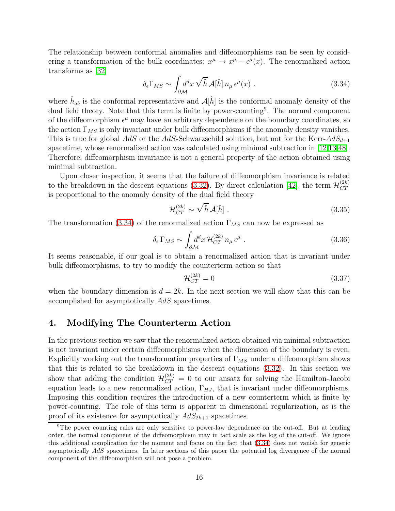<span id="page-16-1"></span>The relationship between conformal anomalies and diffeomorphisms can be seen by considering a transformation of the bulk coordinates:  $x^{\mu} \to x^{\mu} - \epsilon^{\mu}(x)$ . The renormalized action transforms as [\[32\]](#page-39-16)

$$
\delta_{\epsilon} \Gamma_{MS} \sim \int_{\partial \mathcal{M}} d^d x \sqrt{\hat{h}} \mathcal{A}[\hat{h}] n_{\mu} \epsilon^{\mu}(x) . \qquad (3.34)
$$

where  $\hat{h}_{ab}$  is the conformal representative and  $\mathcal{A}[\hat{h}]$  is the conformal anomaly density of the dual field theory. Note that this term is finite by power-counting<sup>9</sup>. The normal component of the diffeomorphism  $\epsilon^{\mu}$  may have an arbitrary dependence on the boundary coordinates, so the action  $\Gamma_{MS}$  is only invariant under bulk diffeomorphisms if the anomaly density vanishes. This is true for global AdS or the AdS-Schwarzschild solution, but not for the Kerr- $AdS_{d+1}$ spacetime, whose renormalized action was calculated using minimal subtraction in [\[12](#page-38-10)[,13](#page-38-11)[,48\]](#page-40-15). Therefore, diffeomorphism invariance is not a general property of the action obtained using minimal subtraction.

Upon closer inspection, it seems that the failure of diffeomorphism invariance is related to the breakdown in the descent equations [\(3.32\)](#page-15-1). By direct calculation [\[42\]](#page-40-9), the term  $\mathcal{H}_{CT}^{(2k)}$  $_{CT}$ is proportional to the anomaly density of the dual field theory

$$
\mathcal{H}_{CT}^{(2k)} \sim \sqrt{\hat{h}} \,\mathcal{A}[\hat{h}]\;.
$$
\n(3.35)

The transformation [\(3.34\)](#page-16-1) of the renormalized action  $\Gamma_{MS}$  can now be expressed as

$$
\delta_{\epsilon} \Gamma_{MS} \sim \int_{\partial \mathcal{M}} d^d x \, \mathcal{H}_{CT}^{(2k)} \, n_{\mu} \, \epsilon^{\mu} \; . \tag{3.36}
$$

It seems reasonable, if our goal is to obtain a renormalized action that is invariant under bulk diffeomorphisms, to try to modify the counterterm action so that

$$
\mathcal{H}_{CT}^{(2k)} = 0\tag{3.37}
$$

when the boundary dimension is  $d = 2k$ . In the next section we will show that this can be accomplished for asymptotically AdS spacetimes.

## <span id="page-16-0"></span>4. Modifying The Counterterm Action

In the previous section we saw that the renormalized action obtained via minimal subtraction is not invariant under certain diffeomorphisms when the dimension of the boundary is even. Explicitly working out the transformation properties of  $\Gamma_{MS}$  under a diffeomorphism shows that this is related to the breakdown in the descent equations [\(3.32\)](#page-15-1). In this section we show that adding the condition  $\mathcal{H}_{CT}^{(2k)} = 0$  to our ansatz for solving the Hamilton-Jacobi equation leads to a new renormalized action,  $\Gamma_{HJ}$ , that is invariant under diffeomorphisms. Imposing this condition requires the introduction of a new counterterm which is finite by power-counting. The role of this term is apparent in dimensional regularization, as is the proof of its existence for asymptotically  $AdS_{2k+1}$  spacetimes.

<sup>9</sup>The power counting rules are only sensitive to power-law dependence on the cut-off. But at leading order, the normal component of the diffeomorphism may in fact scale as the log of the cut-off. We ignore this additional complication for the moment and focus on the fact that [\(3.34\)](#page-16-1) does not vanish for generic asymptotically AdS spacetimes. In later sections of this paper the potential log divergence of the normal component of the diffeomorphism will not pose a problem.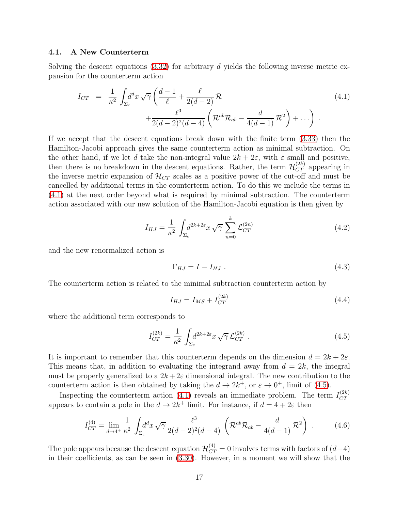#### 4.1. A New Counterterm

<span id="page-17-0"></span>Solving the descent equations  $(3.32)$  for arbitrary d yields the following inverse metric expansion for the counterterm action

$$
I_{CT} = \frac{1}{\kappa^2} \int_{\Sigma_c} d^d x \sqrt{\gamma} \left( \frac{d-1}{\ell} + \frac{\ell}{2(d-2)} \mathcal{R} + \frac{\ell^3}{2(d-2)^2(d-4)} \left( \mathcal{R}^{ab} \mathcal{R}_{ab} - \frac{d}{4(d-1)} \mathcal{R}^2 \right) + \dots \right) .
$$
\n(4.1)

If we accept that the descent equations break down with the finite term [\(3.33\)](#page-15-2) then the Hamilton-Jacobi approach gives the same counterterm action as minimal subtraction. On the other hand, if we let d take the non-integral value  $2k + 2\varepsilon$ , with  $\varepsilon$  small and positive, then there is no breakdown in the descent equations. Rather, the term  $\mathcal{H}_{CT}^{(2k)}$  appearing in the inverse metric expansion of  $\mathcal{H}_{CT}$  scales as a positive power of the cut-off and must be cancelled by additional terms in the counterterm action. To do this we include the terms in [\(4.1\)](#page-17-0) at the next order beyond what is required by minimal subtraction. The counterterm action associated with our new solution of the Hamilton-Jacobi equation is then given by

$$
I_{HJ} = \frac{1}{\kappa^2} \int_{\Sigma_c} d^{2k+2\varepsilon} x \sqrt{\gamma} \sum_{n=0}^k \mathcal{L}_{CT}^{(2n)} \tag{4.2}
$$

and the new renormalized action is

$$
\Gamma_{HJ} = I - I_{HJ} \tag{4.3}
$$

The counterterm action is related to the minimal subtraction counterterm action by

$$
I_{HJ} = I_{MS} + I_{CT}^{(2k)}
$$
\n(4.4)

where the additional term corresponds to

<span id="page-17-2"></span><span id="page-17-1"></span>
$$
I_{CT}^{(2k)} = \frac{1}{\kappa^2} \int_{\Sigma_c} d^{2k+2\varepsilon} x \sqrt{\gamma} \mathcal{L}_{CT}^{(2k)} . \qquad (4.5)
$$

It is important to remember that this counterterm depends on the dimension  $d = 2k + 2\varepsilon$ . This means that, in addition to evaluating the integrand away from  $d = 2k$ , the integral must be properly generalized to a  $2k + 2\varepsilon$  dimensional integral. The new contribution to the counterterm action is then obtained by taking the  $d \to 2k^+$ , or  $\varepsilon \to 0^+$ , limit of [\(4.5\)](#page-17-1).

Inspecting the counterterm action [\(4.1\)](#page-17-0) reveals an immediate problem. The term  $I_{CT}^{(2k)}$  $CT$ appears to contain a pole in the  $d \to 2k^+$  limit. For instance, if  $d = 4 + 2\varepsilon$  then

$$
I_{CT}^{(4)} = \lim_{d \to 4^+} \frac{1}{\kappa^2} \int_{\Sigma_c} d^d x \sqrt{\gamma} \frac{\ell^3}{2(d-2)^2(d-4)} \left( \mathcal{R}^{ab} \mathcal{R}_{ab} - \frac{d}{4(d-1)} \mathcal{R}^2 \right) . \tag{4.6}
$$

The pole appears because the descent equation  $\mathcal{H}_{CT}^{(4)} = 0$  involves terms with factors of  $(d-4)$ in their coefficients, as can be seen in [\(3.30\)](#page-14-1). However, in a moment we will show that the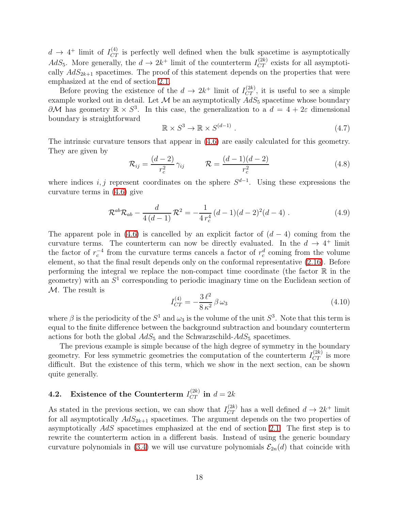$d \to 4^+$  limit of  $I_{CT}^{(4)}$  is perfectly well defined when the bulk spacetime is asymptotically  $AdS_5$ . More generally, the  $d \to 2k^+$  limit of the counterterm  $I_{CT}^{(2k)}$  exists for all asymptotically  $AdS_{2k+1}$  spacetimes. The proof of this statement depends on the properties that were emphasized at the end of section [2.1.](#page-4-1)

Before proving the existence of the  $d \to 2k^+$  limit of  $I_{CT}^{(2k)}$ , it is useful to see a simple example worked out in detail. Let  $\mathcal M$  be an asymptotically  $AdS_5$  spacetime whose boundary  $\partial M$  has geometry  $\mathbb{R} \times S^3$ . In this case, the generalization to a  $d = 4 + 2\varepsilon$  dimensional boundary is straightforward

$$
\mathbb{R} \times S^3 \to \mathbb{R} \times S^{(d-1)} \tag{4.7}
$$

The intrinsic curvature tensors that appear in [\(4.6\)](#page-17-2) are easily calculated for this geometry. They are given by

$$
\mathcal{R}_{ij} = \frac{(d-2)}{r_c^2} \gamma_{ij} \qquad \mathcal{R} = \frac{(d-1)(d-2)}{r_c^2} \tag{4.8}
$$

where indices i, j represent coordinates on the sphere  $S^{d-1}$ . Using these expressions the curvature terms in [\(4.6\)](#page-17-2) give

<span id="page-18-0"></span>
$$
\mathcal{R}^{ab}\mathcal{R}_{ab} - \frac{d}{4(d-1)}\mathcal{R}^2 = -\frac{1}{4r_c^4}(d-1)(d-2)^2(d-4) \ . \tag{4.9}
$$

The apparent pole in [\(4.6\)](#page-17-2) is cancelled by an explicit factor of  $(d-4)$  coming from the curvature terms. The counterterm can now be directly evaluated. In the  $d \to 4^+$  limit the factor of  $r_c^{-4}$  from the curvature terms cancels a factor of  $r_c^d$  coming from the volume element, so that the final result depends only on the conformal representative [\(2.16\)](#page-8-3). Before performing the integral we replace the non-compact time coordinate (the factor  $\mathbb R$  in the geometry) with an  $S<sup>1</sup>$  corresponding to periodic imaginary time on the Euclidean section of  $M$ . The result is

$$
I_{CT}^{(4)} = -\frac{3 \ell^2}{8 \kappa^2} \beta \omega_3 \tag{4.10}
$$

where  $\beta$  is the periodicity of the  $S^1$  and  $\omega_3$  is the volume of the unit  $S^3$ . Note that this term is equal to the finite difference between the background subtraction and boundary counterterm actions for both the global  $AdS_5$  and the Schwarzschild- $AdS_5$  spacetimes.

The previous example is simple because of the high degree of symmetry in the boundary geometry. For less symmetric geometries the computation of the counterterm  $I_{CT}^{(2k)}$  is more difficult. But the existence of this term, which we show in the next section, can be shown quite generally.

## <span id="page-18-1"></span>**4.2.** Existence of the Counterterm  $I_{CT}^{(2k)}$  in  $d = 2k$

As stated in the previous section, we can show that  $I_{CT}^{(2k)}$  has a well defined  $d \to 2k^+$  limit for all asymptotically  $AdS_{2k+1}$  spacetimes. The argument depends on the two properties of asymptotically AdS spacetimes emphasized at the end of section [2.1.](#page-4-1) The first step is to rewrite the counterterm action in a different basis. Instead of using the generic boundary curvature polynomials in [\(3.4\)](#page-10-1) we will use curvature polynomials  $\mathcal{E}_{2n}(d)$  that coincide with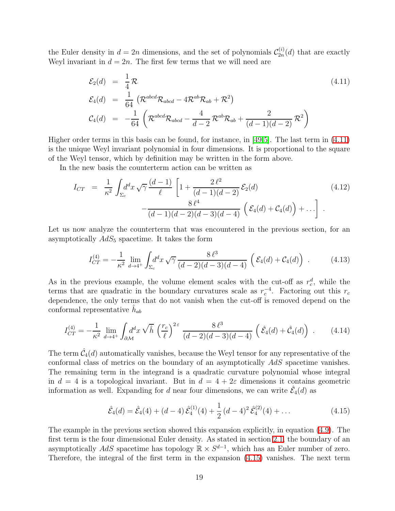<span id="page-19-0"></span>the Euler density in  $d = 2n$  dimensions, and the set of polynomials  $\mathcal{C}_{2n}^{(i)}$  $2n^{(1)}(d)$  that are exactly Weyl invariant in  $d = 2n$ . The first few terms that we will need are

$$
\mathcal{E}_2(d) = \frac{1}{4} \mathcal{R}
$$
\n
$$
\mathcal{E}_4(d) = \frac{1}{64} \left( \mathcal{R}^{abcd} \mathcal{R}_{abcd} - 4 \mathcal{R}^{ab} \mathcal{R}_{ab} + \mathcal{R}^2 \right)
$$
\n
$$
\mathcal{C}_4(d) = -\frac{1}{64} \left( \mathcal{R}^{abcd} \mathcal{R}_{abcd} - \frac{4}{d-2} \mathcal{R}^{ab} \mathcal{R}_{ab} + \frac{2}{(d-1)(d-2)} \mathcal{R}^2 \right)
$$
\n(4.11)

Higher order terms in this basis can be found, for instance, in [\[49,](#page-40-16)[5\]](#page-38-4). The last term in [\(4.11\)](#page-19-0) is the unique Weyl invariant polynomial in four dimensions. It is proportional to the square of the Weyl tensor, which by definition may be written in the form above.

In the new basis the counterterm action can be written as

$$
I_{CT} = \frac{1}{\kappa^2} \int_{\Sigma_c} d^d x \sqrt{\gamma} \frac{(d-1)}{\ell} \left[ 1 + \frac{2 \ell^2}{(d-1)(d-2)} \mathcal{E}_2(d) - \frac{8 \ell^4}{(d-1)(d-2)(d-3)(d-4)} \left( \mathcal{E}_4(d) + \mathcal{C}_4(d) \right) + \ldots \right] \tag{4.12}
$$

Let us now analyze the counterterm that was encountered in the previous section, for an asymptotically  $AdS_5$  spacetime. It takes the form

$$
I_{CT}^{(4)} = -\frac{1}{\kappa^2} \lim_{d \to 4^+} \int_{\Sigma_c} d^d x \sqrt{\gamma} \frac{8 \ell^3}{(d-2)(d-3)(d-4)} \left( \mathcal{E}_4(d) + \mathcal{C}_4(d) \right) \,. \tag{4.13}
$$

As in the previous example, the volume element scales with the cut-off as  $r_c^d$ , while the terms that are quadratic in the boundary curvatures scale as  $r_c^{-4}$ . Factoring out this  $r_c$ dependence, the only terms that do not vanish when the cut-off is removed depend on the conformal representative  $\hat{h}_{ab}$ 

<span id="page-19-2"></span>
$$
I_{CT}^{(4)} = -\frac{1}{\kappa^2} \lim_{d \to 4^+} \int_{\partial \mathcal{M}} d^d x \sqrt{\hat{h}} \left(\frac{r_c}{\ell}\right)^{2\epsilon} \frac{8 \ell^3}{(d-2)(d-3)(d-4)} \left(\hat{\mathcal{E}}_4(d) + \hat{\mathcal{C}}_4(d)\right) \,. \tag{4.14}
$$

The term  $\hat{\mathcal{C}}_4(d)$  automatically vanishes, because the Weyl tensor for any representative of the conformal class of metrics on the boundary of an asymptotically AdS spacetime vanishes. The remaining term in the integrand is a quadratic curvature polynomial whose integral in  $d = 4$  is a topological invariant. But in  $d = 4 + 2\varepsilon$  dimensions it contains geometric information as well. Expanding for d near four dimensions, we can write  $\hat{\mathcal{E}}_4(d)$  as

<span id="page-19-1"></span>
$$
\hat{\mathcal{E}}_4(d) = \hat{\mathcal{E}}_4(4) + (d-4)\,\hat{\mathcal{E}}_4^{(1)}(4) + \frac{1}{2}\,(d-4)^2\,\hat{\mathcal{E}}_4^{(2)}(4) + \dots \tag{4.15}
$$

The example in the previous section showed this expansion explicitly, in equation [\(4.9\)](#page-18-0). The first term is the four dimensional Euler density. As stated in section [2.1,](#page-4-1) the boundary of an asymptotically AdS spacetime has topology  $\mathbb{R} \times S^{d-1}$ , which has an Euler number of zero. Therefore, the integral of the first term in the expansion [\(4.15\)](#page-19-1) vanishes. The next term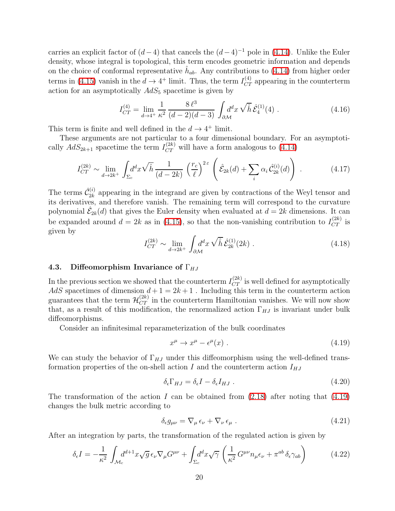carries an explicit factor of  $(d-4)$  that cancels the  $(d-4)^{-1}$  pole in [\(4.14\)](#page-19-2). Unlike the Euler density, whose integral is topological, this term encodes geometric information and depends on the choice of conformal representative  $\hat{h}_{ab}$ . Any contributions to [\(4.14\)](#page-19-2) from higher order terms in [\(4.15\)](#page-19-1) vanish in the  $d \rightarrow 4^+$  limit. Thus, the term  $I_{CT}^{(4)}$  appearing in the counterterm action for an asymptotically  $AdS_5$  spacetime is given by

$$
I_{CT}^{(4)} = \lim_{d \to 4^{+}} \frac{1}{\kappa^{2}} \frac{8 \ell^{3}}{(d-2)(d-3)} \int_{\partial \mathcal{M}} d^{d}x \sqrt{\hat{h}} \hat{\mathcal{E}}_{4}^{(1)}(4) . \qquad (4.16)
$$

This term is finite and well defined in the  $d \rightarrow 4^+$  limit.

These arguments are not particular to a four dimensional boundary. For an asymptotically  $AdS_{2k+1}$  spacetime the term  $I_{CT}^{(2k)}$  will have a form analogous to [\(4.14\)](#page-19-2)

$$
I_{CT}^{(2k)} \sim \lim_{d \to 2k^+} \int_{\Sigma_c} d^d x \sqrt{\hat{h}} \, \frac{1}{(d-2k)} \left(\frac{r_c}{\ell}\right)^{2\,\varepsilon} \left(\hat{\mathcal{E}}_{2k}(d) + \sum_i \alpha_i \hat{\mathcal{C}}_{2k}^{(i)}(d)\right) \,. \tag{4.17}
$$

The terms  $\hat{\mathcal{C}}_{2k}^{(i)}$  $2k$  appearing in the integrand are given by contractions of the Weyl tensor and its derivatives, and therefore vanish. The remaining term will correspond to the curvature polynomial  $\hat{\mathcal{E}}_{2k}(d)$  that gives the Euler density when evaluated at  $d = 2k$  dimensions. It can be expanded around  $d = 2k$  as in [\(4.15\)](#page-19-1), so that the non-vanishing contribution to  $I_{CT}^{(2k)}$  is given by

$$
I_{CT}^{(2k)} \sim \lim_{d \to 2k^+} \int_{\partial \mathcal{M}} d^d x \sqrt{\hat{h}} \hat{\mathcal{E}}_{2k}^{(1)}(2k) . \tag{4.18}
$$

#### <span id="page-20-1"></span>4.3. Diffeomorphism Invariance of  $\Gamma_{HJ}$

In the previous section we showed that the counterterm  $I_{CT}^{(2k)}$  is well defined for asymptotically AdS spacetimes of dimension  $d+1 = 2k+1$ . Including this term in the counterterm action guarantees that the term  $\mathcal{H}_{CT}^{(2k)}$  in the counterterm Hamiltonian vanishes. We will now show that, as a result of this modification, the renormalized action  $\Gamma_{HJ}$  is invariant under bulk diffeomorphisms.

Consider an infinitesimal reparameterization of the bulk coordinates

<span id="page-20-0"></span>
$$
x^{\mu} \to x^{\mu} - \epsilon^{\mu}(x) \tag{4.19}
$$

We can study the behavior of  $\Gamma_{HJ}$  under this diffeomorphism using the well-defined transformation properties of the on-shell action  $I$  and the counterterm action  $I_{HJ}$ 

$$
\delta_{\epsilon} \Gamma_{HJ} = \delta_{\epsilon} I - \delta_{\epsilon} I_{HJ} \tag{4.20}
$$

The transformation of the action I can be obtained from  $(2.18)$  after noting that  $(4.19)$ changes the bulk metric according to

$$
\delta_{\epsilon} g_{\mu\nu} = \nabla_{\mu} \epsilon_{\nu} + \nabla_{\nu} \epsilon_{\mu} \tag{4.21}
$$

After an integration by parts, the transformation of the regulated action is given by

$$
\delta_{\epsilon}I = -\frac{1}{\kappa^2} \int_{\mathcal{M}_c} d^{d+1}x \sqrt{g} \,\epsilon_{\nu} \nabla_{\mu} G^{\mu\nu} + \int_{\Sigma_c} d^d x \sqrt{\gamma} \left( \frac{1}{\kappa^2} G^{\mu\nu} n_{\mu} \epsilon_{\nu} + \pi^{ab} \,\delta_{\epsilon} \gamma_{ab} \right) \tag{4.22}
$$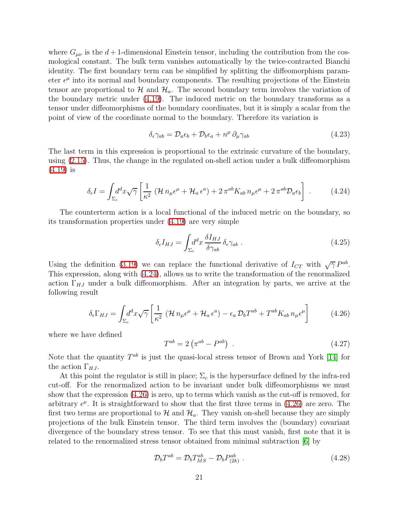where  $G_{\mu\nu}$  is the  $d+1$ -dimensional Einstein tensor, including the contribution from the cosmological constant. The bulk term vanishes automatically by the twice-contracted Bianchi identity. The first boundary term can be simplified by splitting the diffeomorphism parameter  $\epsilon^{\mu}$  into its normal and boundary components. The resulting projections of the Einstein tensor are proportional to  $\mathcal{H}$  and  $\mathcal{H}_a$ . The second boundary term involves the variation of the boundary metric under [\(4.19\)](#page-20-0). The induced metric on the boundary transforms as a tensor under diffeomorphisms of the boundary coordinates, but it is simply a scalar from the point of view of the coordinate normal to the boundary. Therefore its variation is

$$
\delta_{\epsilon}\gamma_{ab} = \mathcal{D}_{a}\epsilon_{b} + \mathcal{D}_{b}\epsilon_{a} + n^{\mu}\partial_{\mu}\gamma_{ab} \tag{4.23}
$$

<span id="page-21-0"></span>The last term in this expression is proportional to the extrinsic curvature of the boundary, using [\(2.15\)](#page-8-4). Thus, the change in the regulated on-shell action under a bulk diffeomorphism [\(4.19\)](#page-20-0) is

$$
\delta_{\epsilon}I = \int_{\Sigma_c} d^d x \sqrt{\gamma} \left[ \frac{1}{\kappa^2} \left( \mathcal{H} \, n_{\mu} \epsilon^{\mu} + \mathcal{H}_a \, \epsilon^a \right) + 2 \, \pi^{ab} K_{ab} \, n_{\mu} \epsilon^{\mu} + 2 \, \pi^{ab} \mathcal{D}_a \epsilon_b \right] \ . \tag{4.24}
$$

The counterterm action is a local functional of the induced metric on the boundary, so its transformation properties under [\(4.19\)](#page-20-0) are very simple

$$
\delta_{\epsilon} I_{HJ} = \int_{\Sigma_{c}} d^{d}x \, \frac{\delta I_{HJ}}{\delta \gamma_{ab}} \, \delta_{\epsilon} \gamma_{ab} \tag{4.25}
$$

<span id="page-21-1"></span>Using the definition [\(3.19\)](#page-13-4) we can replace the functional derivative of  $I_{CT}$  with  $\sqrt{\gamma} P^{ab}$ . This expression, along with [\(4.24\)](#page-21-0), allows us to write the transformation of the renormalized action  $\Gamma_{HJ}$  under a bulk diffeomorphism. After an integration by parts, we arrive at the following result

$$
\delta_{\epsilon} \Gamma_{HJ} = \int_{\Sigma_{c}} d^{d}x \sqrt{\gamma} \left[ \frac{1}{\kappa^{2}} \left( \mathcal{H} \, n_{\mu} \epsilon^{\mu} + \mathcal{H}_{a} \, \epsilon^{a} \right) - \epsilon_{a} \, \mathcal{D}_{b} T^{ab} + T^{ab} K_{ab} \, n_{\mu} \epsilon^{\mu} \right] \tag{4.26}
$$

where we have defined

$$
T^{ab} = 2\left(\pi^{ab} - P^{ab}\right) \tag{4.27}
$$

Note that the quantity  $T^{ab}$  is just the quasi-local stress tensor of Brown and York [\[14\]](#page-38-12) for the action  $\Gamma_{HJ}$ .

At this point the regulator is still in place;  $\Sigma_c$  is the hypersurface defined by the infra-red cut-off. For the renormalized action to be invariant under bulk diffeomorphisms we must show that the expression [\(4.26\)](#page-21-1) is zero, up to terms which vanish as the cut-off is removed, for arbitrary  $\epsilon^{\mu}$ . It is straightforward to show that the first three terms in [\(4.26\)](#page-21-1) are zero. The first two terms are proportional to  $\mathcal{H}$  and  $\mathcal{H}_a$ . They vanish on-shell because they are simply projections of the bulk Einstein tensor. The third term involves the (boundary) covariant divergence of the boundary stress tensor. To see that this must vanish, first note that it is related to the renormalized stress tensor obtained from minimal subtraction [\[6\]](#page-38-5) by

<span id="page-21-2"></span>
$$
\mathcal{D}_b T^{ab} = \mathcal{D}_b T_{MS}^{ab} - \mathcal{D}_b P_{(2k)}^{ab} . \qquad (4.28)
$$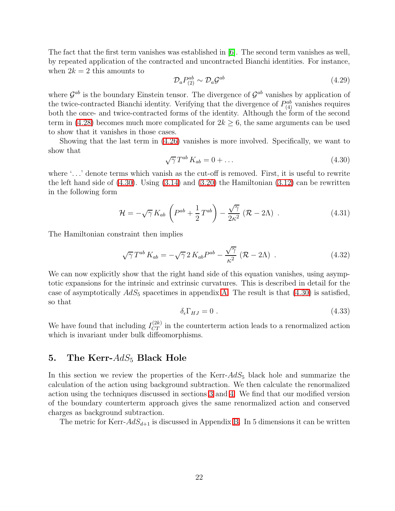The fact that the first term vanishes was established in [\[6\]](#page-38-5). The second term vanishes as well, by repeated application of the contracted and uncontracted Bianchi identities. For instance, when  $2k = 2$  this amounts to

$$
\mathcal{D}_a P_{(2)}^{ab} \sim \mathcal{D}_a \mathcal{G}^{ab} \tag{4.29}
$$

where  $\mathcal{G}^{ab}$  is the boundary Einstein tensor. The divergence of  $\mathcal{G}^{ab}$  vanishes by application of the twice-contracted Bianchi identity. Verifying that the divergence of  $P_{(4)}^{ab}$  vanishes requires both the once- and twice-contracted forms of the identity. Although the form of the second term in  $(4.28)$  becomes much more complicated for  $2k \geq 6$ , the same arguments can be used to show that it vanishes in those cases.

<span id="page-22-1"></span>Showing that the last term in [\(4.26\)](#page-21-1) vanishes is more involved. Specifically, we want to show that

$$
\sqrt{\gamma} T^{ab} K_{ab} = 0 + \dots \tag{4.30}
$$

where '...' denote terms which vanish as the cut-off is removed. First, it is useful to rewrite the left hand side of [\(4.30\)](#page-22-1). Using [\(3.14\)](#page-12-1) and [\(3.20\)](#page-13-5) the Hamiltonian [\(3.12\)](#page-12-0) can be rewritten in the following form

$$
\mathcal{H} = -\sqrt{\gamma} K_{ab} \left( P^{ab} + \frac{1}{2} T^{ab} \right) - \frac{\sqrt{\gamma}}{2\kappa^2} \left( \mathcal{R} - 2\Lambda \right) . \tag{4.31}
$$

The Hamiltonian constraint then implies

$$
\sqrt{\gamma} T^{ab} K_{ab} = -\sqrt{\gamma} 2 K_{ab} P^{ab} - \frac{\sqrt{\gamma}}{\kappa^2} (\mathcal{R} - 2\Lambda) . \qquad (4.32)
$$

We can now explicitly show that the right hand side of this equation vanishes, using asymptotic expansions for the intrinsic and extrinsic curvatures. This is described in detail for the case of asymptotically  $AdS_5$  spacetimes in appendix [A.](#page-34-0) The result is that  $(4.30)$  is satisfied, so that

$$
\delta_{\epsilon} \Gamma_{HJ} = 0 \tag{4.33}
$$

We have found that including  $I_{CT}^{(2k)}$  in the counterterm action leads to a renormalized action which is invariant under bulk diffeomorphisms.

## <span id="page-22-0"></span>5. The Kerr- $AdS_5$  Black Hole

In this section we review the properties of the Kerr- $AdS_5$  black hole and summarize the calculation of the action using background subtraction. We then calculate the renormalized action using the techniques discussed in sections [3](#page-10-0) and [4.](#page-16-0) We find that our modified version of the boundary counterterm approach gives the same renormalized action and conserved charges as background subtraction.

The metric for Kerr- $AdS_{d+1}$  is discussed in Appendix [B.](#page-36-0) In 5 dimensions it can be written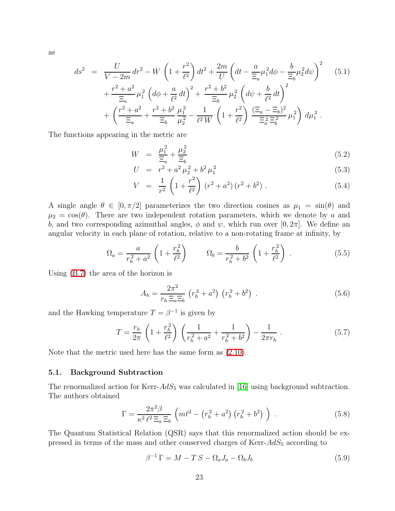<span id="page-23-2"></span>as

$$
ds^{2} = \frac{U}{V - 2m} dr^{2} - W \left( 1 + \frac{r^{2}}{\ell^{2}} \right) dt^{2} + \frac{2m}{U} \left( dt - \frac{a}{\Xi_{a}} \mu_{1}^{2} d\phi - \frac{b}{\Xi_{b}} \mu_{2}^{2} d\psi \right)^{2} \qquad (5.1)
$$
  
+ 
$$
\frac{r^{2} + a^{2}}{\Xi_{a}} \mu_{1}^{2} \left( d\phi + \frac{a}{\ell^{2}} dt \right)^{2} + \frac{r^{2} + b^{2}}{\Xi_{b}} \mu_{2}^{2} \left( d\psi + \frac{b}{\ell^{2}} dt \right)^{2} + \left( \frac{r^{2} + a^{2}}{\Xi_{a}} + \frac{r^{2} + b^{2}}{\Xi_{b}} \mu_{2}^{2} - \frac{1}{\ell^{2} W} \left( 1 + \frac{r^{2}}{\ell^{2}} \right) \frac{(\Xi_{a} - \Xi_{b})^{2}}{\Xi_{a}^{2} \Xi_{b}^{2}} \mu_{1}^{2} \right) d\mu_{1}^{2} .
$$

The functions appearing in the metric are

$$
W = \frac{\mu_1^2}{\Xi_a} + \frac{\mu_2^2}{\Xi_b} \tag{5.2}
$$

$$
U = r^2 + a^2 \mu_2^2 + b^2 \mu_1^2 \tag{5.3}
$$

<span id="page-23-0"></span>
$$
V = \frac{1}{r^2} \left( 1 + \frac{r^2}{\ell^2} \right) \left( r^2 + a^2 \right) \left( r^2 + b^2 \right) . \tag{5.4}
$$

A single angle  $\theta \in [0, \pi/2]$  parameterizes the two direction cosines as  $\mu_1 = \sin(\theta)$  and  $\mu_2 = \cos(\theta)$ . There are two independent rotation parameters, which we denote by a and b, and two corresponding azimuthal angles,  $\phi$  and  $\psi$ , which run over [0, 2π]. We define an angular velocity in each plane of rotation, relative to a non-rotating frame at infinity, by

$$
\Omega_a = \frac{a}{r_h^2 + a^2} \left( 1 + \frac{r_h^2}{\ell^2} \right) \qquad \Omega_b = \frac{b}{r_h^2 + b^2} \left( 1 + \frac{r_h^2}{\ell^2} \right) \,. \tag{5.5}
$$

Using [\(B.7\)](#page-36-1) the area of the horizon is

<span id="page-23-1"></span>
$$
A_h = \frac{2\pi^2}{r_h \Xi_a \Xi_b} \left( r_h^2 + a^2 \right) \left( r_h^2 + b^2 \right) \,. \tag{5.6}
$$

and the Hawking temperature  $T = \beta^{-1}$  is given by

$$
T = \frac{r_h}{2\pi} \left( 1 + \frac{r_h^2}{\ell^2} \right) \left( \frac{1}{r_h^2 + a^2} + \frac{1}{r_h^2 + b^2} \right) - \frac{1}{2\pi r_h} \,. \tag{5.7}
$$

<span id="page-23-4"></span>Note that the metric used here has the same form as [\(2.10\)](#page-7-0).

#### 5.1. Background Subtraction

<span id="page-23-3"></span>The renormalized action for Kerr- $AdS_5$  was calculated in [\[16\]](#page-39-0) using background subtraction. The authors obtained

$$
\Gamma = \frac{2\pi^2 \beta}{\kappa^2 \ell^2 \Xi_a \Xi_b} \left( m\ell^2 - \left( r_h^2 + a^2 \right) \left( r_h^2 + b^2 \right) \right) \,. \tag{5.8}
$$

The Quantum Statistical Relation (QSR) says that this renormalized action should be expressed in terms of the mass and other conserved charges of Kerr- $AdS_5$  according to

$$
\beta^{-1}\Gamma = M - TS - \Omega_a J_a - \Omega_b J_b \tag{5.9}
$$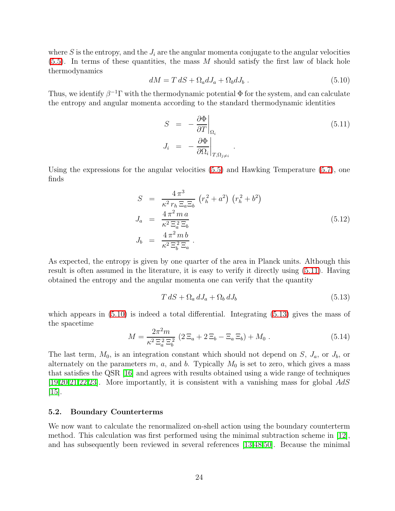<span id="page-24-1"></span>where  $S$  is the entropy, and the  $J_i$  are the angular momenta conjugate to the angular velocities  $(5.5)$ . In terms of these quantities, the mass M should satisfy the first law of black hole thermodynamics

$$
dM = T dS + \Omega_a dJ_a + \Omega_b dJ_b . \qquad (5.10)
$$

Thus, we identify  $\beta^{-1}\Gamma$  with the thermodynamic potential  $\Phi$  for the system, and can calculate the entropy and angular momenta according to the standard thermodynamic identities

<span id="page-24-0"></span>
$$
S = -\frac{\partial \Phi}{\partial T}\Big|_{\Omega_i}
$$
  
\n
$$
J_i = -\frac{\partial \Phi}{\partial \Omega_i}\Big|_{T, \Omega_{j \neq i}}.
$$
\n(5.11)

Using the expressions for the angular velocities [\(5.5\)](#page-23-0) and Hawking Temperature [\(5.7\)](#page-23-1), one finds

<span id="page-24-4"></span>
$$
S = \frac{4\pi^3}{\kappa^2 r_h \Xi_a \Xi_b} (r_h^2 + a^2) (r_h^2 + b^2)
$$
  
\n
$$
J_a = \frac{4\pi^2 m a}{\kappa^2 \Xi_a^2 \Xi_b}
$$
  
\n
$$
J_b = \frac{4\pi^2 m b}{\kappa^2 \Xi_b^2 \Xi_a}.
$$
  
\n(5.12)

As expected, the entropy is given by one quarter of the area in Planck units. Although this result is often assumed in the literature, it is easy to verify it directly using [\(5.11\)](#page-24-0). Having obtained the entropy and the angular momenta one can verify that the quantity

<span id="page-24-2"></span>
$$
T dS + \Omega_a dJ_a + \Omega_b dJ_b \tag{5.13}
$$

<span id="page-24-3"></span>which appears in  $(5.10)$  is indeed a total differential. Integrating  $(5.13)$  gives the mass of the spacetime

$$
M = \frac{2\pi^2 m}{\kappa^2 \Xi_a^2 \Xi_b^2} (2\Xi_a + 2\Xi_b - \Xi_a \Xi_b) + M_0.
$$
 (5.14)

The last term,  $M_0$ , is an integration constant which should not depend on S,  $J_a$ , or  $J_b$ , or alternately on the parameters  $m, a$ , and b. Typically  $M_0$  is set to zero, which gives a mass that satisfies the QSR [\[16\]](#page-39-0) and agrees with results obtained using a wide range of techniques [\[19,](#page-39-3)[20,](#page-39-4)[21,](#page-39-5)[22,](#page-39-6)[23\]](#page-39-7). More importantly, it is consistent with a vanishing mass for global AdS  $|15|$ .

#### 5.2. Boundary Counterterms

We now want to calculate the renormalized on-shell action using the boundary counterterm method. This calculation was first performed using the minimal subtraction scheme in [\[12\]](#page-38-10), and has subsequently been reviewed in several references [\[13,](#page-38-11)[48,](#page-40-15)[50\]](#page-41-0). Because the minimal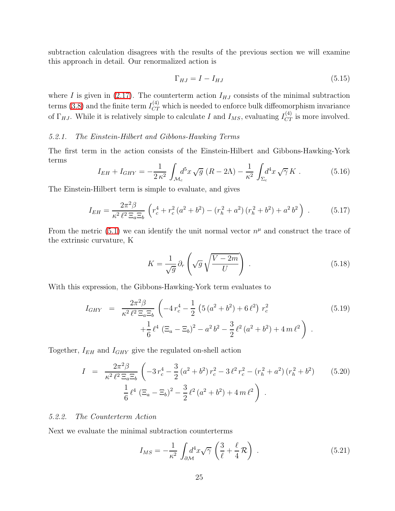subtraction calculation disagrees with the results of the previous section we will examine this approach in detail. Our renormalized action is

$$
\Gamma_{HJ} = I - I_{HJ} \tag{5.15}
$$

where I is given in [\(2.17\)](#page-8-1). The counterterm action  $I_{HJ}$  consists of the minimal subtraction terms [\(3.8\)](#page-11-2) and the finite term  $I_{CT}^{(4)}$  which is needed to enforce bulk diffeomorphism invariance of  $\Gamma_{HJ}$ . While it is relatively simple to calculate I and  $I_{MS}$ , evaluating  $I_{CT}^{(4)}$  is more involved.

#### 5.2.1. The Einstein-Hilbert and Gibbons-Hawking Terms

The first term in the action consists of the Einstein-Hilbert and Gibbons-Hawking-York terms

$$
I_{EH} + I_{GHY} = -\frac{1}{2\,\kappa^2} \int_{\mathcal{M}_c} d^5 x \sqrt{g} \ (R - 2\Lambda) - \frac{1}{\kappa^2} \int_{\Sigma_c} d^4 x \sqrt{\gamma} \, K \ . \tag{5.16}
$$

The Einstein-Hilbert term is simple to evaluate, and gives

$$
I_{EH} = \frac{2\pi^2 \beta}{\kappa^2 \ell^2 \Xi_a \Xi_b} \left( r_c^4 + r_c^2 \left( a^2 + b^2 \right) - \left( r_h^2 + a^2 \right) \left( r_h^2 + b^2 \right) + a^2 b^2 \right) \,. \tag{5.17}
$$

From the metric [\(5.1\)](#page-23-2) we can identify the unit normal vector  $n^{\mu}$  and construct the trace of the extrinsic curvature, K

$$
K = \frac{1}{\sqrt{g}} \partial_r \left( \sqrt{g} \sqrt{\frac{V - 2m}{U}} \right) \,. \tag{5.18}
$$

With this expression, the Gibbons-Hawking-York term evaluates to

$$
I_{GHY} = \frac{2\pi^2 \beta}{\kappa^2 \ell^2 \Xi_a \Xi_b} \left( -4r_c^4 - \frac{1}{2} \left( 5 \left( a^2 + b^2 \right) + 6 \ell^2 \right) r_c^2 + \frac{1}{6} \ell^4 \left( \Xi_a - \Xi_b \right)^2 - a^2 b^2 - \frac{3}{2} \ell^2 \left( a^2 + b^2 \right) + 4 m \ell^2 \right) .
$$
 (5.19)

<span id="page-25-0"></span>Together,  $I_{EH}$  and  $I_{GHY}$  give the regulated on-shell action

$$
I = \frac{2\pi^2 \beta}{\kappa^2 \ell^2 \Xi_a \Xi_b} \left( -3r_c^4 - \frac{3}{2} (a^2 + b^2) r_c^2 - 3 \ell^2 r_c^2 - (r_h^2 + a^2) (r_h^2 + b^2) \right) \tag{5.20}
$$

$$
\frac{1}{6} \ell^4 (\Xi_a - \Xi_b)^2 - \frac{3}{2} \ell^2 (a^2 + b^2) + 4 m \ell^2 \right) .
$$

#### 5.2.2. The Counterterm Action

Next we evaluate the minimal subtraction counterterms

$$
I_{MS} = -\frac{1}{\kappa^2} \int_{\partial \mathcal{M}} d^4 x \sqrt{\gamma} \left( \frac{3}{\ell} + \frac{\ell}{4} \mathcal{R} \right) . \tag{5.21}
$$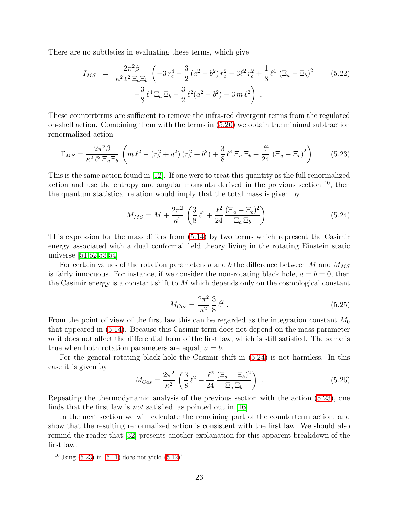There are no subtleties in evaluating these terms, which give

$$
I_{MS} = \frac{2\pi^2 \beta}{\kappa^2 \ell^2 \Xi_a \Xi_b} \left( -3r_c^4 - \frac{3}{2} (a^2 + b^2) r_c^2 - 3\ell^2 r_c^2 + \frac{1}{8} \ell^4 (\Xi_a - \Xi_b)^2 - \frac{3}{8} \ell^4 \Xi_a \Xi_b - \frac{3}{2} \ell^2 (a^2 + b^2) - 3m \ell^2 \right) .
$$
 (5.22)

<span id="page-26-1"></span>These counterterms are sufficient to remove the infra-red divergent terms from the regulated on-shell action. Combining them with the terms in [\(5.20\)](#page-25-0) we obtain the minimal subtraction renormalized action

$$
\Gamma_{MS} = \frac{2\pi^2 \beta}{\kappa^2 \ell^2 \Xi_a \Xi_b} \left( m \ell^2 - (r_h^2 + a^2) (r_h^2 + b^2) + \frac{3}{8} \ell^4 \Xi_a \Xi_b + \frac{\ell^4}{24} (\Xi_a - \Xi_b)^2 \right) . \tag{5.23}
$$

This is the same action found in [\[12\]](#page-38-10). If one were to treat this quantity as the full renormalized action and use the entropy and angular momenta derived in the previous section  $10$ , then the quantum statistical relation would imply that the total mass is given by

<span id="page-26-0"></span>
$$
M_{MS} = M + \frac{2\pi^2}{\kappa^2} \left( \frac{3}{8} \ell^2 + \frac{\ell^2}{24} \frac{(\Xi_a - \Xi_b)^2}{\Xi_a \Xi_b} \right) . \tag{5.24}
$$

This expression for the mass differs from [\(5.14\)](#page-24-3) by two terms which represent the Casimir energy associated with a dual conformal field theory living in the rotating Einstein static universe [\[51,](#page-41-1)[52,](#page-41-2)[53,](#page-41-3)[54\]](#page-41-4)

For certain values of the rotation parameters a and b the difference between M and  $M_{MS}$ is fairly innocuous. For instance, if we consider the non-rotating black hole,  $a = b = 0$ , then the Casimir energy is a constant shift to M which depends only on the cosmological constant

$$
M_{Cas} = \frac{2\pi^2}{\kappa^2} \frac{3}{8} \ell^2 \ . \tag{5.25}
$$

From the point of view of the first law this can be regarded as the integration constant  $M_0$ that appeared in [\(5.14\)](#page-24-3). Because this Casimir term does not depend on the mass parameter m it does not affect the differential form of the first law, which is still satisfied. The same is true when both rotation parameters are equal,  $a = b$ .

For the general rotating black hole the Casimir shift in [\(5.24\)](#page-26-0) is not harmless. In this case it is given by

$$
M_{Cas} = \frac{2\pi^2}{\kappa^2} \left( \frac{3}{8} \ell^2 + \frac{\ell^2}{24} \frac{(\Xi_a - \Xi_b)^2}{\Xi_a \Xi_b} \right) . \tag{5.26}
$$

Repeating the thermodynamic analysis of the previous section with the action [\(5.23\)](#page-26-1), one finds that the first law is not satisfied, as pointed out in [\[16\]](#page-39-0).

In the next section we will calculate the remaining part of the counterterm action, and show that the resulting renormalized action is consistent with the first law. We should also remind the reader that [\[32\]](#page-39-16) presents another explanation for this apparent breakdown of the first law.

 $10 \text{Using } (5.23)$  $10 \text{Using } (5.23)$  in  $(5.11)$  does not yield  $(5.12)!$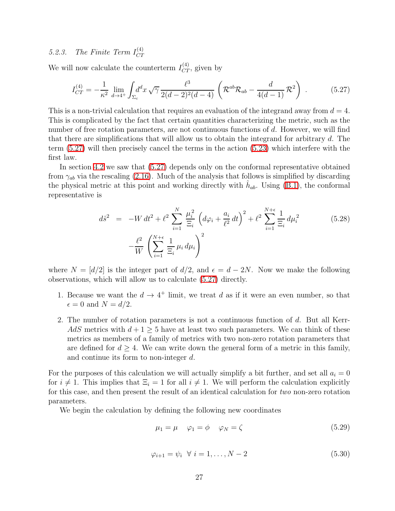#### 5.2.3. The Finite Term  $I_{CT}^{(4)}$  $CT$

We will now calculate the counterterm  $I_{CT}^{(4)}$ , given by

<span id="page-27-0"></span>
$$
I_{CT}^{(4)} = -\frac{1}{\kappa^2} \lim_{d \to 4^+} \int_{\Sigma_c} d^d x \sqrt{\gamma} \frac{\ell^3}{2(d-2)^2(d-4)} \left( \mathcal{R}^{ab} \mathcal{R}_{ab} - \frac{d}{4(d-1)} \mathcal{R}^2 \right) . \tag{5.27}
$$

This is a non-trivial calculation that requires an evaluation of the integrand away from  $d = 4$ . This is complicated by the fact that certain quantities characterizing the metric, such as the number of free rotation parameters, are not continuous functions of d. However, we will find that there are simplifications that will allow us to obtain the integrand for arbitrary d. The term [\(5.27\)](#page-27-0) will then precisely cancel the terms in the action [\(5.23\)](#page-26-1) which interfere with the first law.

In section [4.2](#page-18-1) we saw that [\(5.27\)](#page-27-0) depends only on the conformal representative obtained from  $\gamma_{ab}$  via the rescaling [\(2.16\)](#page-8-3). Much of the analysis that follows is simplified by discarding the physical metric at this point and working directly with  $\hat{h}_{ab}$ . Using [\(B.1\)](#page-36-2), the conformal representative is

<span id="page-27-1"></span>
$$
d\hat{s}^{2} = -W dt^{2} + \ell^{2} \sum_{i=1}^{N} \frac{\mu_{i}^{2}}{\Xi_{i}} \left( d\varphi_{i} + \frac{a_{i}}{\ell^{2}} dt \right)^{2} + \ell^{2} \sum_{i=1}^{N+\epsilon} \frac{1}{\Xi_{i}} d\mu_{i}^{2} \qquad (5.28)
$$

$$
- \frac{\ell^{2}}{W} \left( \sum_{i=1}^{N+\epsilon} \frac{1}{\Xi_{i}} \mu_{i} d\mu_{i} \right)^{2}
$$

where  $N = [d/2]$  is the integer part of  $d/2$ , and  $\epsilon = d - 2N$ . Now we make the following observations, which will allow us to calculate [\(5.27\)](#page-27-0) directly.

- 1. Because we want the  $d \to 4^+$  limit, we treat d as if it were an even number, so that  $\epsilon = 0$  and  $N = d/2$ .
- 2. The number of rotation parameters is not a continuous function of d. But all Kerr-AdS metrics with  $d+1\geq 5$  have at least two such parameters. We can think of these metrics as members of a family of metrics with two non-zero rotation parameters that are defined for  $d > 4$ . We can write down the general form of a metric in this family, and continue its form to non-integer d.

For the purposes of this calculation we will actually simplify a bit further, and set all  $a_i = 0$ for  $i \neq 1$ . This implies that  $\Xi_i = 1$  for all  $i \neq 1$ . We will perform the calculation explicitly for this case, and then present the result of an identical calculation for two non-zero rotation parameters.

We begin the calculation by defining the following new coordinates

$$
\mu_1 = \mu \quad \varphi_1 = \phi \quad \varphi_N = \zeta \tag{5.29}
$$

$$
\varphi_{i+1} = \psi_i \quad \forall \ i = 1, \dots, N-2 \tag{5.30}
$$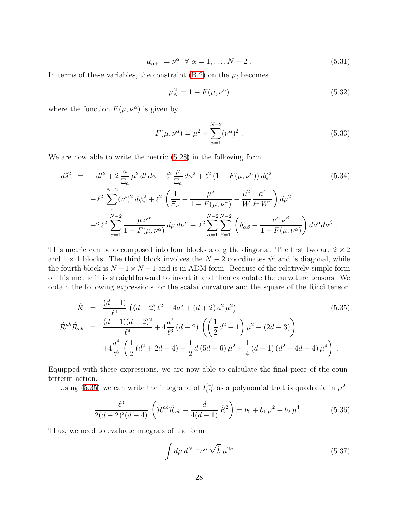$$
\mu_{\alpha+1} = \nu^{\alpha} \quad \forall \alpha = 1, \dots, N-2 \tag{5.31}
$$

In terms of these variables, the constraint  $(B.2)$  on the  $\mu_i$  becomes

$$
\mu_N^2 = 1 - F(\mu, \nu^{\alpha}) \tag{5.32}
$$

where the function  $F(\mu, \nu^{\alpha})$  is given by

$$
F(\mu, \nu^{\alpha}) = \mu^2 + \sum_{\alpha=1}^{N-2} (\nu^{\alpha})^2.
$$
 (5.33)

We are now able to write the metric [\(5.28\)](#page-27-1) in the following form

$$
d\hat{s}^{2} = -dt^{2} + 2 \frac{a}{\Xi_{a}} \mu^{2} dt d\phi + \ell^{2} \frac{\mu}{\Xi_{a}} d\phi^{2} + \ell^{2} (1 - F(\mu, \nu^{\alpha})) d\zeta^{2}
$$
(5.34)  
+ 
$$
\ell^{2} \sum_{i}^{N-2} (\nu^{i})^{2} d\psi_{i}^{2} + \ell^{2} \left( \frac{1}{\Xi_{a}} + \frac{\mu^{2}}{1 - F(\mu, \nu^{\alpha})} - \frac{\mu^{2}}{W} \frac{a^{4}}{\ell^{4} W^{2}} \right) d\mu^{2}
$$

$$
+ 2 \ell^{2} \sum_{\alpha=1}^{N-2} \frac{\mu \nu^{\alpha}}{1 - F(\mu, \nu^{\alpha})} d\mu d\nu^{\alpha} + \ell^{2} \sum_{\alpha=1}^{N-2} \sum_{\beta=1}^{N-2} \left( \delta_{\alpha\beta} + \frac{\nu^{\alpha} \nu^{\beta}}{1 - F(\mu, \nu^{\alpha})} \right) d\nu^{\alpha} d\nu^{\beta}.
$$

This metric can be decomposed into four blocks along the diagonal. The first two are  $2 \times 2$ and  $1 \times 1$  blocks. The third block involves the  $N-2$  coordinates  $\psi^i$  and is diagonal, while the fourth block is  $N - 1 \times N - 1$  and is in ADM form. Because of the relatively simple form of this metric it is straightforward to invert it and then calculate the curvature tensors. We obtain the following expressions for the scalar curvature and the square of the Ricci tensor

<span id="page-28-0"></span>
$$
\hat{\mathcal{R}} = \frac{(d-1)}{\ell^4} \left( (d-2) \ell^2 - 4a^2 + (d+2) a^2 \mu^2 \right) \tag{5.35}
$$
\n
$$
\hat{\mathcal{R}}^{ab} \hat{\mathcal{R}}_{ab} = \frac{(d-1)(d-2)^2}{\ell^4} + 4 \frac{a^2}{\ell^6} (d-2) \left( \left( \frac{1}{2} d^2 - 1 \right) \mu^2 - (2d-3) \right) + 4 \frac{a^4}{\ell^8} \left( \frac{1}{2} (d^2 + 2d - 4) - \frac{1}{2} d \left( 5d - 6 \right) \mu^2 + \frac{1}{4} (d-1) (d^2 + 4d - 4) \mu^4 \right) .
$$
\n(5.35)

Equipped with these expressions, we are now able to calculate the final piece of the counterterm action.

Using [\(5.35\)](#page-28-0) we can write the integrand of  $I_{CT}^{(4)}$  as a polynomial that is quadratic in  $\mu^2$ 

$$
\frac{\ell^3}{2(d-2)^2(d-4)}\left(\hat{\mathcal{R}}^{ab}\hat{\mathcal{R}}_{ab} - \frac{d}{4(d-1)}\hat{R}^2\right) = b_0 + b_1\,\mu^2 + b_2\,\mu^4\,. \tag{5.36}
$$

Thus, we need to evaluate integrals of the form

<span id="page-28-2"></span><span id="page-28-1"></span>
$$
\int d\mu \, d^{N-2} \nu^{\alpha} \sqrt{\hat{h}} \, \mu^{2n} \tag{5.37}
$$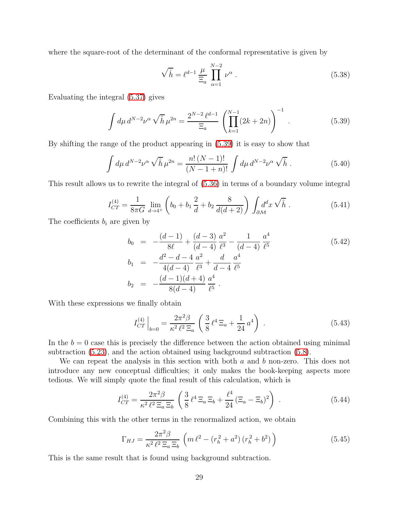where the square-root of the determinant of the conformal representative is given by

$$
\sqrt{\hat{h}} = \ell^{d-1} \frac{\mu}{\Xi_a} \prod_{\alpha=1}^{N-2} \nu^{\alpha} . \qquad (5.38)
$$

Evaluating the integral [\(5.37\)](#page-28-1) gives

<span id="page-29-0"></span>
$$
\int d\mu \, d^{N-2} \nu^{\alpha} \sqrt{\hat{h}} \, \mu^{2n} = \frac{2^{N-2} \, \ell^{d-1}}{\Xi_a} \left( \prod_{k=1}^{N-1} (2k+2n) \right)^{-1} \,. \tag{5.39}
$$

By shifting the range of the product appearing in [\(5.39\)](#page-29-0) it is easy to show that

$$
\int d\mu \, d^{N-2} \nu^{\alpha} \sqrt{\hat{h}} \, \mu^{2n} = \frac{n! \, (N-1)!}{(N-1+n)!} \int d\mu \, d^{N-2} \nu^{\alpha} \sqrt{\hat{h}} \,. \tag{5.40}
$$

This result allows us to rewrite the integral of [\(5.36\)](#page-28-2) in terms of a boundary volume integral

$$
I_{CT}^{(4)} = \frac{1}{8\pi G} \lim_{d \to 4^+} \left( b_0 + b_1 \frac{2}{d} + b_2 \frac{8}{d(d+2)} \right) \int_{\partial \mathcal{M}} d^d x \sqrt{\hat{h}} \,. \tag{5.41}
$$

The coefficients  $b_i$  are given by

$$
b_0 = -\frac{(d-1)}{8\ell} + \frac{(d-3)}{(d-4)}\frac{a^2}{\ell^3} - \frac{1}{(d-4)}\frac{a^4}{\ell^5}
$$
  
\n
$$
b_1 = -\frac{d^2 - d - 4}{4(d-4)}\frac{a^2}{\ell^3} + \frac{d}{d-4}\frac{a^4}{\ell^5}
$$
  
\n
$$
b_2 = -\frac{(d-1)(d+4)}{8(d-4)}\frac{a^4}{\ell^5}.
$$
\n(5.42)

With these expressions we finally obtain

<span id="page-29-1"></span>
$$
I_{CT}^{(4)}\Big|_{b=0} = \frac{2\pi^2 \beta}{\kappa^2 \ell^2 \Xi_a} \left(\frac{3}{8} \ell^4 \Xi_a + \frac{1}{24} a^4\right) \,. \tag{5.43}
$$

In the  $b = 0$  case this is precisely the difference between the action obtained using minimal subtraction [\(5.23\)](#page-26-1), and the action obtained using background subtraction [\(5.8\)](#page-23-3).

We can repeat the analysis in this section with both  $a$  and  $b$  non-zero. This does not introduce any new conceptual difficulties; it only makes the book-keeping aspects more tedious. We will simply quote the final result of this calculation, which is

$$
I_{CT}^{(4)} = \frac{2\pi^2 \beta}{\kappa^2 \ell^2 \Xi_a \Xi_b} \left( \frac{3}{8} \ell^4 \Xi_a \Xi_b + \frac{\ell^4}{24} (\Xi_a - \Xi_b)^2 \right) . \tag{5.44}
$$

Combining this with the other terms in the renormalized action, we obtain

$$
\Gamma_{HJ} = \frac{2\pi^2 \beta}{\kappa^2 \ell^2 \Xi_a \Xi_b} \left( m \ell^2 - (r_h^2 + a^2) (r_h^2 + b^2) \right)
$$
 (5.45)

This is the same result that is found using background subtraction.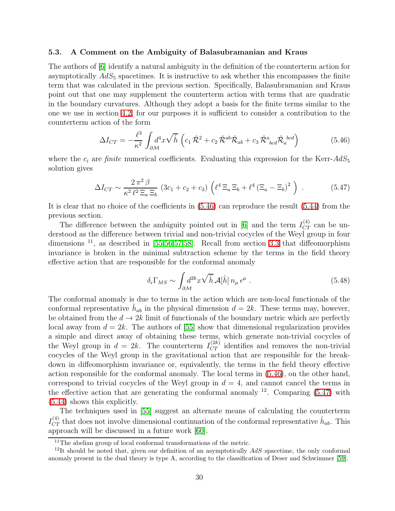#### 5.3. A Comment on the Ambiguity of Balasubramanian and Kraus

The authors of [\[6\]](#page-38-5) identify a natural ambiguity in the definition of the counterterm action for asymptotically  $AdS_5$  spacetimes. It is instructive to ask whether this encompasses the finite term that was calculated in the previous section. Specifically, Balasubramanian and Kraus point out that one may supplement the counterterm action with terms that are quadratic in the boundary curvatures. Although they adopt a basis for the finite terms similar to the one we use in section [4.2,](#page-18-1) for our purposes it is sufficient to consider a contribution to the counterterm action of the form

<span id="page-30-0"></span>
$$
\Delta I_{CT} = -\frac{\ell^3}{\kappa^2} \int_{\partial \mathcal{M}} d^4 x \sqrt{\hat{h}} \left( c_1 \hat{\mathcal{R}}^2 + c_2 \hat{\mathcal{R}}^{ab} \hat{\mathcal{R}}_{ab} + c_3 \hat{\mathcal{R}}^a_{bcd} \hat{\mathcal{R}}_a^{bcd} \right)
$$
(5.46)

<span id="page-30-1"></span>where the  $c_i$  are *finite* numerical coefficients. Evaluating this expression for the Kerr- $AdS_5$ solution gives

$$
\Delta I_{CT} \sim \frac{2\,\pi^2\,\beta}{\kappa^2\,\ell^2\,\Xi_a\,\Xi_b} \left(3c_1+c_2+c_3\right) \left(\ell^4\,\Xi_a\,\Xi_b+\ell^4\left(\Xi_a-\Xi_b\right)^2\right) \,. \tag{5.47}
$$

It is clear that no choice of the coefficients in [\(5.46\)](#page-30-0) can reproduce the result [\(5.44\)](#page-29-1) from the previous section.

The difference between the ambiguity pointed out in [\[6\]](#page-38-5) and the term  $I_{CT}^{(4)}$  can be understood as the difference between trivial and non-trivial cocycles of the Weyl group in four dimensions  $^{11}$ , as described in [\[55](#page-41-5)[,56](#page-41-6)[,57,](#page-41-7)[58\]](#page-41-8). Recall from section [3.3](#page-15-3) that diffeomorphism invariance is broken in the minimal subtraction scheme by the terms in the field theory effective action that are responsible for the conformal anomaly

$$
\delta_{\epsilon} \Gamma_{MS} \sim \int_{\partial \mathcal{M}} d^{2k} x \sqrt{\hat{h}} \mathcal{A}[\hat{h}] n_{\mu} \epsilon^{\mu} . \tag{5.48}
$$

The conformal anomaly is due to terms in the action which are non-local functionals of the conformal representative  $\hat{h}_{ab}$  in the physical dimension  $d = 2k$ . These terms may, however, be obtained from the  $d \to 2k$  limit of functionals of the boundary metric which are perfectly local away from  $d = 2k$ . The authors of [\[55\]](#page-41-5) show that dimensional regularization provides a simple and direct away of obtaining these terms, which generate non-trivial cocycles of the Weyl group in  $d = 2k$ . The counterterm  $I_{CT}^{(2k)}$  identifies and removes the non-trivial cocycles of the Weyl group in the gravitational action that are responsible for the breakdown in diffeomorphism invariance or, equivalently, the terms in the field theory effective action responsible for the conformal anomaly. The local terms in [\(5.46\)](#page-30-0), on the other hand, correspond to trivial cocycles of the Weyl group in  $d = 4$ , and cannot cancel the terms in the effective action that are generating the conformal anomaly  $12$ . Comparing [\(5.47\)](#page-30-1) with [\(5.44\)](#page-29-1) shows this explicitly.

The techniques used in [\[55\]](#page-41-5) suggest an alternate means of calculating the counterterm  $I_{CT}^{(4)}$  that does not involve dimensional continuation of the conformal representative  $\hat{h}_{ab}$ . This approach will be discussed in a future work [\[60\]](#page-41-9).

 $11$ <sup>The</sup> abelian group of local conformal transformations of the metric.

<sup>&</sup>lt;sup>12</sup>It should be noted that, given our definition of an asymptotically  $AdS$  spacetime, the only conformal anomaly present in the dual theory is type A, according to the classification of Deser and Schwimmer [\[59\]](#page-41-10).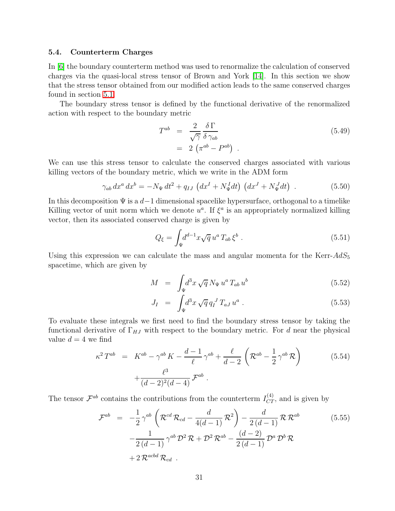#### 5.4. Counterterm Charges

In [\[6\]](#page-38-5) the boundary counterterm method was used to renormalize the calculation of conserved charges via the quasi-local stress tensor of Brown and York [\[14\]](#page-38-12). In this section we show that the stress tensor obtained from our modified action leads to the same conserved charges found in section [5.1.](#page-23-4)

The boundary stress tensor is defined by the functional derivative of the renormalized action with respect to the boundary metric

$$
T^{ab} = \frac{2}{\sqrt{\gamma}} \frac{\delta \Gamma}{\delta \gamma_{ab}}
$$
  
= 2 (\pi^{ab} - P^{ab}). \t\t(5.49)

We can use this stress tensor to calculate the conserved charges associated with various killing vectors of the boundary metric, which we write in the ADM form

$$
\gamma_{ab} dx^{a} dx^{b} = -N_{\Psi} dt^{2} + q_{IJ} \left( dx^{I} + N_{\Psi}^{I} dt \right) \left( dx^{J} + N_{\Psi}^{J} dt \right) . \tag{5.50}
$$

In this decomposition  $\Psi$  is a  $d-1$  dimensional spacelike hypersurface, orthogonal to a timelike Killing vector of unit norm which we denote  $u^a$ . If  $\xi^a$  is an appropriately normalized killing vector, then its associated conserved charge is given by

$$
Q_{\xi} = \int_{\Psi} d^{d-1}x \sqrt{q} u^a T_{ab} \xi^b . \qquad (5.51)
$$

Using this expression we can calculate the mass and angular momenta for the Kerr- $AdS_5$ spacetime, which are given by

$$
M = \int_{\Psi} d^3x \sqrt{q} N_{\Psi} u^a T_{ab} u^b
$$
 (5.52)

$$
J_I = \int_{\Psi} d^3x \sqrt{q} q_I^J T_{aJ} u^a . \qquad (5.53)
$$

To evaluate these integrals we first need to find the boundary stress tensor by taking the functional derivative of  $\Gamma_{HJ}$  with respect to the boundary metric. For d near the physical value  $d = 4$  we find

$$
\kappa^2 T^{ab} = K^{ab} - \gamma^{ab} K - \frac{d-1}{\ell} \gamma^{ab} + \frac{\ell}{d-2} \left( \mathcal{R}^{ab} - \frac{1}{2} \gamma^{ab} \mathcal{R} \right) + \frac{\ell^3}{(d-2)^2 (d-4)} \mathcal{F}^{ab} .
$$
 (5.54)

The tensor  $\mathcal{F}^{ab}$  contains the contributions from the counterterm  $I_{CT}^{(4)}$ , and is given by

$$
\mathcal{F}^{ab} = -\frac{1}{2} \gamma^{ab} \left( \mathcal{R}^{cd} \mathcal{R}_{cd} - \frac{d}{4(d-1)} \mathcal{R}^2 \right) - \frac{d}{2(d-1)} \mathcal{R} \mathcal{R}^{ab} \n- \frac{1}{2(d-1)} \gamma^{ab} \mathcal{D}^2 \mathcal{R} + \mathcal{D}^2 \mathcal{R}^{ab} - \frac{(d-2)}{2(d-1)} \mathcal{D}^a \mathcal{D}^b \mathcal{R} \n+ 2 \mathcal{R}^{acbd} \mathcal{R}_{cd} .
$$
\n(5.55)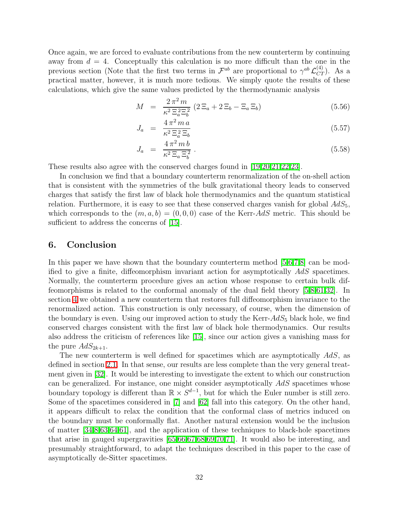Once again, we are forced to evaluate contributions from the new counterterm by continuing away from  $d = 4$ . Conceptually this calculation is no more difficult than the one in the previous section (Note that the first two terms in  $\mathcal{F}^{ab}$  are proportional to  $\gamma^{ab} \mathcal{L}_{CT}^{(4)}$ ). As a practical matter, however, it is much more tedious. We simply quote the results of these calculations, which give the same values predicted by the thermodynamic analysis

$$
M = \frac{2\pi^2 m}{\kappa^2 \Xi_a^2 \Xi_b^2} (2\Xi_a + 2\Xi_b - \Xi_a \Xi_b)
$$
 (5.56)

$$
J_a = \frac{4\pi^2 m a}{\kappa^2 \Xi_a^2 \Xi_b} \tag{5.57}
$$

$$
J_a = \frac{4\,\pi^2\,m\,b}{\kappa^2\,\Xi_a\,\Xi_b^2} \,. \tag{5.58}
$$

These results also agree with the conserved charges found in [\[19](#page-39-3)[,20](#page-39-4)[,21](#page-39-5)[,22,](#page-39-6)[23\]](#page-39-7).

In conclusion we find that a boundary counterterm renormalization of the on-shell action that is consistent with the symmetries of the bulk gravitational theory leads to conserved charges that satisfy the first law of black hole thermodynamics and the quantum statistical relation. Furthermore, it is easy to see that these conserved charges vanish for global  $AdS_5$ , which corresponds to the  $(m, a, b) = (0, 0, 0)$  case of the Kerr-AdS metric. This should be sufficient to address the concerns of [\[15\]](#page-38-13).

## <span id="page-32-0"></span>6. Conclusion

In this paper we have shown that the boundary counterterm method [\[5,](#page-38-4)[6,](#page-38-5)[7](#page-38-6)[,8\]](#page-38-7) can be modified to give a finite, diffeomorphism invariant action for asymptotically AdS spacetimes. Normally, the counterterm procedure gives an action whose response to certain bulk diffeomorphisms is related to the conformal anomaly of the dual field theory [\[5,](#page-38-4)[8](#page-38-7)[,61](#page-41-11)[,32\]](#page-39-16). In section [4](#page-16-0) we obtained a new counterterm that restores full diffeomorphism invariance to the renormalized action. This construction is only necessary, of course, when the dimension of the boundary is even. Using our improved action to study the Kerr- $AdS_5$  black hole, we find conserved charges consistent with the first law of black hole thermodynamics. Our results also address the criticism of references like [\[15\]](#page-38-13), since our action gives a vanishing mass for the pure  $AdS_{2k+1}$ .

The new counterterm is well defined for spacetimes which are asymptotically AdS, as defined in section [2.1.](#page-4-1) In that sense, our results are less complete than the very general treatment given in [\[32\]](#page-39-16). It would be interesting to investigate the extent to which our construction can be generalized. For instance, one might consider asymptotically AdS spacetimes whose boundary topology is different than  $\mathbb{R} \times S^{d-1}$ , but for which the Euler number is still zero. Some of the spacetimes considered in [\[7\]](#page-38-6) and [\[62\]](#page-41-12) fall into this category. On the other hand, it appears difficult to relax the condition that the conformal class of metrics induced on the boundary must be conformally flat. Another natural extension would be the inclusion of matter [\[34](#page-40-1)[,8](#page-38-7)[,63](#page-41-13)[,64](#page-41-14)[,61\]](#page-41-11), and the application of these techniques to black-hole spacetimes that arise in gauged supergravities [\[65](#page-41-15)[,66,](#page-42-0)[67,](#page-42-1)[68,](#page-42-2)[69](#page-42-3)[,70](#page-42-4)[,71\]](#page-42-5). It would also be interesting, and presumably straightforward, to adapt the techniques described in this paper to the case of asymptotically de-Sitter spacetimes.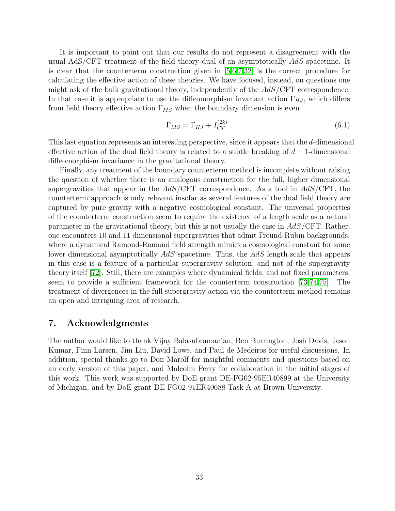It is important to point out that our results do not represent a disagreement with the usual AdS/CFT treatment of the field theory dual of an asymptotically AdS spacetime. It is clear that the counterterm construction given in [\[5](#page-38-4)[,6](#page-38-5)[,7](#page-38-6)[,32\]](#page-39-16) is the correct procedure for calculating the effective action of these theories. We have focused, instead, on questions one might ask of the bulk gravitational theory, independently of the AdS/CFT correspondence. In that case it is appropriate to use the diffeomorphism invariant action  $\Gamma_{HJ}$ , which differs from field theory effective action  $\Gamma_{MS}$  when the boundary dimension is even

$$
\Gamma_{MS} = \Gamma_{HJ} + I_{CT}^{(2k)} \tag{6.1}
$$

This last equation represents an interesting perspective, since it appears that the d-dimensional effective action of the dual field theory is related to a subtle breaking of  $d+1$ -dimensional diffeomorphism invariance in the gravitational theory.

Finally, any treatment of the boundary counterterm method is incomplete without raising the question of whether there is an analogous construction for the full, higher dimensional supergravities that appear in the  $AdS/\text{CFT}$  correspondence. As a tool in  $AdS/\text{CFT}$ , the counterterm approach is only relevant insofar as several features of the dual field theory are captured by pure gravity with a negative cosmological constant. The universal properties of the counterterm construction seem to require the existence of a length scale as a natural parameter in the gravitational theory, but this is not usually the case in AdS/CFT. Rather, one encounters 10 and 11 dimensional supergravities that admit Freund-Rubin backgrounds, where a dynamical Ramond-Ramond field strength mimics a cosmological constant for some lower dimensional asymptotically AdS spacetime. Thus, the AdS length scale that appears in this case is a feature of a particular supergravity solution, and not of the supergravity theory itself [\[72\]](#page-42-6). Still, there are examples where dynamical fields, and not fixed parameters, seem to provide a sufficient framework for the counterterm construction [\[73,](#page-42-7)[74,](#page-42-8)[75\]](#page-42-9). The treatment of divergences in the full supergravity action via the counterterm method remains an open and intriguing area of research.

## 7. Acknowledgments

The author would like to thank Vijay Balasubramanian, Ben Burrington, Josh Davis, Jason Kumar, Finn Larsen, Jim Liu, David Lowe, and Paul de Medeiros for useful discussions. In addition, special thanks go to Don Marolf for insightful comments and questions based on an early version of this paper, and Malcolm Perry for collaboration in the initial stages of this work. This work was supported by DoE grant DE-FG02-95ER40899 at the University of Michigan, and by DoE grant DE-FG02-91ER40688-Task A at Brown University.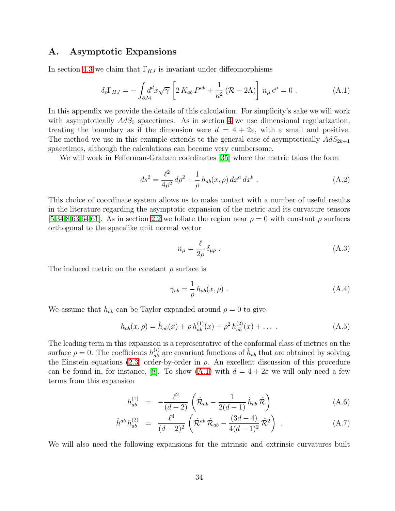## <span id="page-34-0"></span>A. Asymptotic Expansions

In section [4.3](#page-20-1) we claim that  $\Gamma_{HJ}$  is invariant under diffeomorphisms

<span id="page-34-1"></span>
$$
\delta_{\epsilon} \Gamma_{HJ} = -\int_{\partial \mathcal{M}} d^d x \sqrt{\gamma} \left[ 2 \, K_{ab} \, P^{ab} + \frac{1}{\kappa^2} \left( \mathcal{R} - 2\Lambda \right) \right] \, n_{\mu} \, \epsilon^{\mu} = 0 \; . \tag{A.1}
$$

In this appendix we provide the details of this calculation. For simplicity's sake we will work with asymptotically  $AdS_5$  spacetimes. As in section [4](#page-16-0) we use dimensional regularization, treating the boundary as if the dimension were  $d = 4 + 2\varepsilon$ , with  $\varepsilon$  small and positive. The method we use in this example extends to the general case of asymptotically  $AdS_{2k+1}$ spacetimes, although the calculations can become very cumbersome.

We will work in Fefferman-Graham coordinates [\[35\]](#page-40-2) where the metric takes the form

$$
ds^{2} = \frac{\ell^{2}}{4\rho^{2}} d\rho^{2} + \frac{1}{\rho} h_{ab}(x,\rho) dx^{a} dx^{b} .
$$
 (A.2)

This choice of coordinate system allows us to make contact with a number of useful results in the literature regarding the asymptotic expansion of the metric and its curvature tensors [\[5](#page-38-4)[,34,](#page-40-1)[8](#page-38-7)[,63](#page-41-13)[,64,](#page-41-14)[61\]](#page-41-11). As in section [2.2](#page-7-2) we foliate the region near  $\rho = 0$  with constant  $\rho$  surfaces orthogonal to the spacelike unit normal vector

$$
n_{\mu} = \frac{\ell}{2\rho} \delta_{\mu\rho} \tag{A.3}
$$

The induced metric on the constant  $\rho$  surface is

$$
\gamma_{ab} = \frac{1}{\rho} h_{ab}(x, \rho) \tag{A.4}
$$

We assume that  $h_{ab}$  can be Taylor expanded around  $\rho = 0$  to give

$$
h_{ab}(x,\rho) = \hat{h}_{ab}(x) + \rho h_{ab}^{(1)}(x) + \rho^2 h_{ab}^{(2)}(x) + \dots
$$
 (A.5)

The leading term in this expansion is a representative of the conformal class of metrics on the surface  $\rho = 0$ . The coefficients  $h_{ab}^{(i)}$  are covariant functions of  $\hat{h}_{ab}$  that are obtained by solving the Einstein equations [\(2.3\)](#page-4-2) order-by-order in  $\rho$ . An excellent discussion of this procedure can be found in, for instance, [\[8\]](#page-38-7). To show [\(A.1\)](#page-34-1) with  $d = 4 + 2\varepsilon$  we will only need a few terms from this expansion

$$
h_{ab}^{(1)} = -\frac{\ell^2}{(d-2)} \left( \hat{\mathcal{R}}_{ab} - \frac{1}{2(d-1)} \hat{h}_{ab} \hat{\mathcal{R}} \right)
$$
 (A.6)

<span id="page-34-2"></span>
$$
\hat{h}^{ab} h_{ab}^{(2)} = \frac{\ell^4}{(d-2)^2} \left( \hat{\mathcal{R}}^{ab} \hat{\mathcal{R}}_{ab} - \frac{(3d-4)}{4(d-1)^2} \hat{\mathcal{R}}^2 \right) . \tag{A.7}
$$

We will also need the following expansions for the intrinsic and extrinsic curvatures built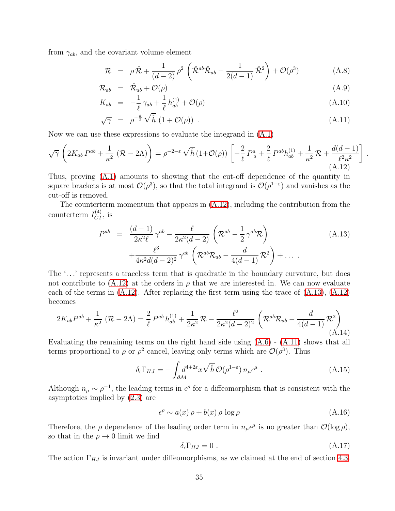<span id="page-35-2"></span>from  $\gamma_{ab}$ , and the covariant volume element

$$
\mathcal{R} = \rho \hat{\mathcal{R}} + \frac{1}{(d-2)} \rho^2 \left( \hat{\mathcal{R}}^{ab} \hat{\mathcal{R}}_{ab} - \frac{1}{2(d-1)} \hat{\mathcal{R}}^2 \right) + \mathcal{O}(\rho^3) \tag{A.8}
$$

$$
\mathcal{R}_{ab} = \hat{\mathcal{R}}_{ab} + \mathcal{O}(\rho) \tag{A.9}
$$

$$
K_{ab} = -\frac{1}{\ell} \gamma_{ab} + \frac{1}{\ell} h_{ab}^{(1)} + \mathcal{O}(\rho) \tag{A.10}
$$

<span id="page-35-0"></span>
$$
\sqrt{\gamma} = \rho^{-\frac{d}{2}} \sqrt{\hat{h}} \left( 1 + \mathcal{O}(\rho) \right) . \tag{A.11}
$$

.

Now we can use these expressions to evaluate the integrand in [\(A.1\)](#page-34-1)

$$
\sqrt{\gamma} \left( 2K_{ab} P^{ab} + \frac{1}{\kappa^2} \left( \mathcal{R} - 2\Lambda \right) \right) = \rho^{-2-\varepsilon} \sqrt{\hat{h}} \left( 1 + \mathcal{O}(\rho) \right) \left[ -\frac{2}{\ell} P^a_{\ a} + \frac{2}{\ell} P^{ab} h^{(1)}_{ab} + \frac{1}{\kappa^2} \mathcal{R} + \frac{d(d-1)}{\ell^2 \kappa^2} \right] \tag{A.12}
$$

Thus, proving [\(A.1\)](#page-34-1) amounts to showing that the cut-off dependence of the quantity in square brackets is at most  $\mathcal{O}(\rho^3)$ , so that the total integrand is  $\mathcal{O}(\rho^{1-\varepsilon})$  and vanishes as the cut-off is removed.

<span id="page-35-1"></span>The counterterm momentum that appears in [\(A.12\)](#page-35-0), including the contribution from the counterterm  $I_{CT}^{(4)}$ , is

$$
P^{ab} = \frac{(d-1)}{2\kappa^2 \ell} \gamma^{ab} - \frac{\ell}{2\kappa^2 (d-2)} \left( \mathcal{R}^{ab} - \frac{1}{2} \gamma^{ab} \mathcal{R} \right)
$$
  
 
$$
+ \frac{\ell^3}{4\kappa^2 d(d-2)^2} \gamma^{ab} \left( \mathcal{R}^{ab} \mathcal{R}_{ab} - \frac{d}{4(d-1)} \mathcal{R}^2 \right) + \dots
$$
 (A.13)

The '. . .' represents a traceless term that is quadratic in the boundary curvature, but does not contribute to  $(A.12)$  at the orders in  $\rho$  that we are interested in. We can now evaluate each of the terms in  $(A.12)$ . After replacing the first term using the trace of  $(A.13)$ ,  $(A.12)$ becomes

$$
2K_{ab}P^{ab} + \frac{1}{\kappa^2} (\mathcal{R} - 2\Lambda) = \frac{2}{\ell} P^{ab} h_{ab}^{(1)} + \frac{1}{2\kappa^2} \mathcal{R} - \frac{\ell^2}{2\kappa^2 (d-2)^2} \left( \mathcal{R}^{ab} \mathcal{R}_{ab} - \frac{d}{4(d-1)} \mathcal{R}^2 \right)
$$
\n(A.14)

Evaluating the remaining terms on the right hand side using [\(A.6\)](#page-34-2) - [\(A.11\)](#page-35-2) shows that all terms proportional to  $\rho$  or  $\rho^2$  cancel, leaving only terms which are  $\mathcal{O}(\rho^3)$ . Thus

$$
\delta_{\epsilon} \Gamma_{HJ} = -\int_{\partial \mathcal{M}} d^{4+2\epsilon} x \sqrt{\hat{h}} \, \mathcal{O}(\rho^{1-\epsilon}) \, n_{\mu} \epsilon^{\mu} \; . \tag{A.15}
$$

Although  $n_{\mu} \sim \rho^{-1}$ , the leading terms in  $\epsilon^{\rho}$  for a diffeomorphism that is consistent with the asymptotics implied by [\(2.3\)](#page-4-2) are

$$
\epsilon^{\rho} \sim a(x)\,\rho + b(x)\,\rho \,\log \rho \tag{A.16}
$$

Therefore, the  $\rho$  dependence of the leading order term in  $n_{\mu} \epsilon^{\mu}$  is no greater than  $\mathcal{O}(\log \rho)$ , so that in the  $\rho \rightarrow 0$  limit we find

$$
\delta_{\epsilon} \Gamma_{HJ} = 0 \tag{A.17}
$$

The action  $\Gamma_{HJ}$  is invariant under diffeomorphisms, as we claimed at the end of section [4.3.](#page-20-1)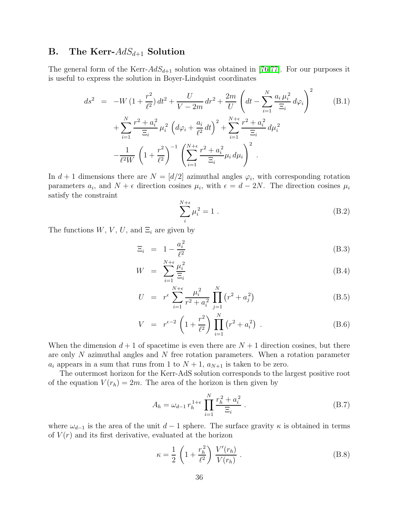## <span id="page-36-0"></span>**B.** The Kerr- $AdS_{d+1}$  Solution

<span id="page-36-2"></span>The general form of the Kerr- $AdS_{d+1}$  solution was obtained in [\[76](#page-42-10)[,77\]](#page-42-11). For our purposes it is useful to express the solution in Boyer-Lindquist coordinates

$$
ds^{2} = -W (1 + \frac{r^{2}}{\ell^{2}}) dt^{2} + \frac{U}{V - 2m} dr^{2} + \frac{2m}{U} \left( dt - \sum_{i=1}^{N} \frac{a_{i} \mu_{i}^{2}}{\Xi_{i}} d\varphi_{i} \right)^{2} + \sum_{i=1}^{N} \frac{r^{2} + a_{i}^{2}}{\Xi_{i}} \mu_{i}^{2} \left( d\varphi_{i} + \frac{a_{i}}{\ell^{2}} dt \right)^{2} + \sum_{i=1}^{N+\epsilon} \frac{r^{2} + a_{i}^{2}}{\Xi_{i}} d\mu_{i}^{2} - \frac{1}{\ell^{2}W} \left( 1 + \frac{r^{2}}{\ell^{2}} \right)^{-1} \left( \sum_{i=1}^{N+\epsilon} \frac{r^{2} + a_{i}^{2}}{\Xi_{i}} \mu_{i} d\mu_{i} \right)^{2} .
$$
\n(B.1)

<span id="page-36-3"></span>In  $d+1$  dimensions there are  $N = [d/2]$  azimuthal angles  $\varphi_i$ , with corresponding rotation parameters  $a_i$ , and  $N + \epsilon$  direction cosines  $\mu_i$ , with  $\epsilon = d - 2N$ . The direction cosines  $\mu_i$ satisfy the constraint

$$
\sum_{i}^{N+\epsilon} \mu_i^2 = 1 \tag{B.2}
$$

<span id="page-36-4"></span>The functions  $W, V, U$ , and  $\Xi_i$  are given by

$$
\Xi_i = 1 - \frac{a_i^2}{\ell^2} \tag{B.3}
$$

$$
W = \sum_{i=1}^{N+\epsilon} \frac{\mu_i^2}{\Xi_i} \tag{B.4}
$$

$$
U = r^{\epsilon} \sum_{i=1}^{N+\epsilon} \frac{\mu_i^2}{r^2 + a_i^2} \prod_{j=1}^N (r^2 + a_j^2)
$$
 (B.5)

$$
V = r^{\epsilon - 2} \left( 1 + \frac{r^2}{\ell^2} \right) \prod_{i=1}^{N} (r^2 + a_i^2) . \tag{B.6}
$$

When the dimension  $d+1$  of spacetime is even there are  $N+1$  direction cosines, but there are only N azimuthal angles and N free rotation parameters. When a rotation parameter  $a_i$  appears in a sum that runs from 1 to  $N+1$ ,  $a_{N+1}$  is taken to be zero.

The outermost horizon for the Kerr-AdS solution corresponds to the largest positive root of the equation  $V(r_h) = 2m$ . The area of the horizon is then given by

<span id="page-36-1"></span>
$$
A_h = \omega_{d-1} r_h^{1+\epsilon} \prod_{i=1}^N \frac{r_h^2 + a_i^2}{\Xi_i} \,. \tag{B.7}
$$

where  $\omega_{d-1}$  is the area of the unit  $d-1$  sphere. The surface gravity  $\kappa$  is obtained in terms of  $V(r)$  and its first derivative, evaluated at the horizon

$$
\kappa = \frac{1}{2} \left( 1 + \frac{r_h^2}{\ell^2} \right) \frac{V'(r_h)}{V(r_h)} . \tag{B.8}
$$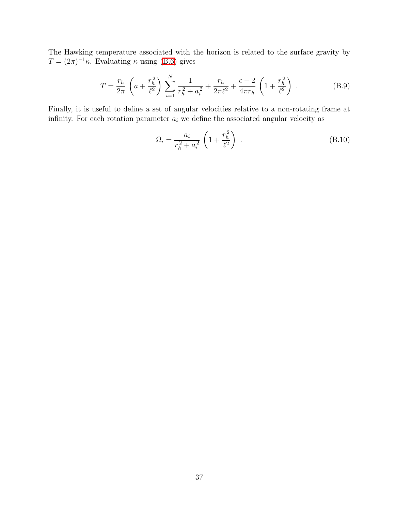The Hawking temperature associated with the horizon is related to the surface gravity by  $T = (2\pi)^{-1}\kappa$ . Evaluating  $\kappa$  using [\(B.6\)](#page-36-4) gives

$$
T = \frac{r_h}{2\pi} \left( a + \frac{r_h^2}{\ell^2} \right) \sum_{i=1}^N \frac{1}{r_h^2 + a_i^2} + \frac{r_h}{2\pi\ell^2} + \frac{\epsilon - 2}{4\pi r_h} \left( 1 + \frac{r_h^2}{\ell^2} \right) . \tag{B.9}
$$

Finally, it is useful to define a set of angular velocities relative to a non-rotating frame at infinity. For each rotation parameter  $a_i$  we define the associated angular velocity as

$$
\Omega_i = \frac{a_i}{r_h^2 + a_i^2} \left( 1 + \frac{r_h^2}{\ell^2} \right) \,. \tag{B.10}
$$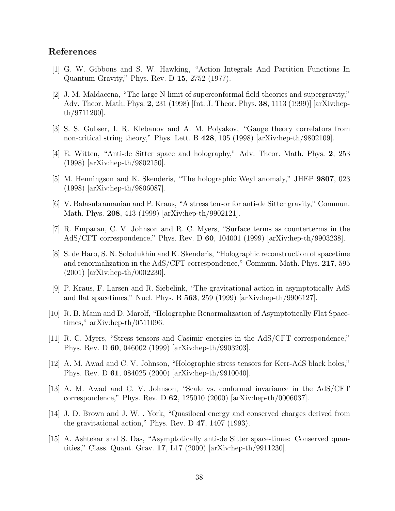## <span id="page-38-0"></span>References

- <span id="page-38-1"></span>[1] G. W. Gibbons and S. W. Hawking, "Action Integrals And Partition Functions In Quantum Gravity," Phys. Rev. D 15, 2752 (1977).
- [2] J. M. Maldacena, "The large N limit of superconformal field theories and supergravity," Adv. Theor. Math. Phys. 2, 231 (1998) [Int. J. Theor. Phys. 38, 1113 (1999)] [arXiv:hepth/9711200].
- <span id="page-38-3"></span><span id="page-38-2"></span>[3] S. S. Gubser, I. R. Klebanov and A. M. Polyakov, "Gauge theory correlators from non-critical string theory," Phys. Lett. B 428, 105 (1998) [arXiv:hep-th/9802109].
- <span id="page-38-4"></span>[4] E. Witten, "Anti-de Sitter space and holography," Adv. Theor. Math. Phys. 2, 253 (1998) [arXiv:hep-th/9802150].
- <span id="page-38-5"></span>[5] M. Henningson and K. Skenderis, "The holographic Weyl anomaly," JHEP 9807, 023 (1998) [arXiv:hep-th/9806087].
- [6] V. Balasubramanian and P. Kraus, "A stress tensor for anti-de Sitter gravity," Commun. Math. Phys. 208, 413 (1999) [arXiv:hep-th/9902121].
- <span id="page-38-6"></span>[7] R. Emparan, C. V. Johnson and R. C. Myers, "Surface terms as counterterms in the AdS/CFT correspondence," Phys. Rev. D 60, 104001 (1999) [arXiv:hep-th/9903238].
- <span id="page-38-7"></span>[8] S. de Haro, S. N. Solodukhin and K. Skenderis, "Holographic reconstruction of spacetime and renormalization in the AdS/CFT correspondence," Commun. Math. Phys. 217, 595 (2001) [arXiv:hep-th/0002230].
- <span id="page-38-8"></span>[9] P. Kraus, F. Larsen and R. Siebelink, "The gravitational action in asymptotically AdS and flat spacetimes," Nucl. Phys. B 563, 259 (1999) [arXiv:hep-th/9906127].
- <span id="page-38-14"></span>[10] R. B. Mann and D. Marolf, "Holographic Renormalization of Asymptotically Flat Spacetimes," arXiv:hep-th/0511096.
- <span id="page-38-9"></span>[11] R. C. Myers, "Stress tensors and Casimir energies in the AdS/CFT correspondence," Phys. Rev. D 60, 046002 (1999) [arXiv:hep-th/9903203].
- <span id="page-38-10"></span>[12] A. M. Awad and C. V. Johnson, "Holographic stress tensors for Kerr-AdS black holes," Phys. Rev. D 61, 084025 (2000) [arXiv:hep-th/9910040].
- <span id="page-38-11"></span>[13] A. M. Awad and C. V. Johnson, "Scale vs. conformal invariance in the AdS/CFT correspondence," Phys. Rev. D 62, 125010 (2000) [arXiv:hep-th/0006037].
- <span id="page-38-12"></span>[14] J. D. Brown and J. W. . York, "Quasilocal energy and conserved charges derived from the gravitational action," Phys. Rev. D 47, 1407 (1993).
- <span id="page-38-13"></span>[15] A. Ashtekar and S. Das, "Asymptotically anti-de Sitter space-times: Conserved quantities," Class. Quant. Grav. 17, L17 (2000) [arXiv:hep-th/9911230].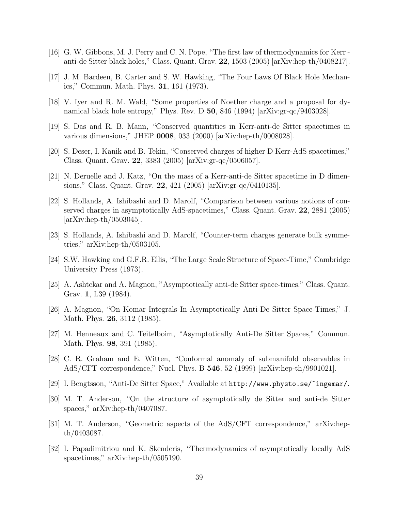- <span id="page-39-1"></span><span id="page-39-0"></span>[16] G. W. Gibbons, M. J. Perry and C. N. Pope, "The first law of thermodynamics for Kerr anti-de Sitter black holes," Class. Quant. Grav. 22, 1503 (2005) [arXiv:hep-th/0408217].
- <span id="page-39-2"></span>[17] J. M. Bardeen, B. Carter and S. W. Hawking, "The Four Laws Of Black Hole Mechanics," Commun. Math. Phys. 31, 161 (1973).
- <span id="page-39-3"></span>[18] V. Iyer and R. M. Wald, "Some properties of Noether charge and a proposal for dynamical black hole entropy," Phys. Rev. D 50, 846 (1994) [arXiv:gr-qc/9403028].
- <span id="page-39-4"></span>[19] S. Das and R. B. Mann, "Conserved quantities in Kerr-anti-de Sitter spacetimes in various dimensions," JHEP 0008, 033 (2000) [arXiv:hep-th/0008028].
- <span id="page-39-5"></span>[20] S. Deser, I. Kanik and B. Tekin, "Conserved charges of higher D Kerr-AdS spacetimes," Class. Quant. Grav. 22, 3383 (2005) [arXiv:gr-qc/0506057].
- <span id="page-39-6"></span>[21] N. Deruelle and J. Katz, "On the mass of a Kerr-anti-de Sitter spacetime in D dimensions," Class. Quant. Grav. 22, 421 (2005) [arXiv:gr-qc/0410135].
- [22] S. Hollands, A. Ishibashi and D. Marolf, "Comparison between various notions of conserved charges in asymptotically AdS-spacetimes," Class. Quant. Grav. **22**, 2881 (2005)  $\arXiv:hep-th/0503045$ .
- <span id="page-39-7"></span>[23] S. Hollands, A. Ishibashi and D. Marolf, "Counter-term charges generate bulk symmetries," arXiv:hep-th/0503105.
- <span id="page-39-9"></span><span id="page-39-8"></span>[24] S.W. Hawking and G.F.R. Ellis, "The Large Scale Structure of Space-Time," Cambridge University Press (1973).
- [25] A. Ashtekar and A. Magnon, "Asymptotically anti-de Sitter space-times," Class. Quant. Grav. 1, L39 (1984).
- <span id="page-39-10"></span>[26] A. Magnon, "On Komar Integrals In Asymptotically Anti-De Sitter Space-Times," J. Math. Phys. 26, 3112 (1985).
- <span id="page-39-12"></span><span id="page-39-11"></span>[27] M. Henneaux and C. Teitelboim, "Asymptotically Anti-De Sitter Spaces," Commun. Math. Phys. 98, 391 (1985).
- [28] C. R. Graham and E. Witten, "Conformal anomaly of submanifold observables in AdS/CFT correspondence," Nucl. Phys. B 546, 52 (1999) [arXiv:hep-th/9901021].
- <span id="page-39-14"></span><span id="page-39-13"></span>[29] I. Bengtsson, "Anti-De Sitter Space," Available at http://www.physto.se/~ingemar/.
- [30] M. T. Anderson, "On the structure of asymptotically de Sitter and anti-de Sitter spaces," arXiv:hep-th/0407087.
- <span id="page-39-16"></span><span id="page-39-15"></span>[31] M. T. Anderson, "Geometric aspects of the AdS/CFT correspondence," arXiv:hepth/0403087.
- [32] I. Papadimitriou and K. Skenderis, "Thermodynamics of asymptotically locally AdS spacetimes," arXiv:hep-th/0505190.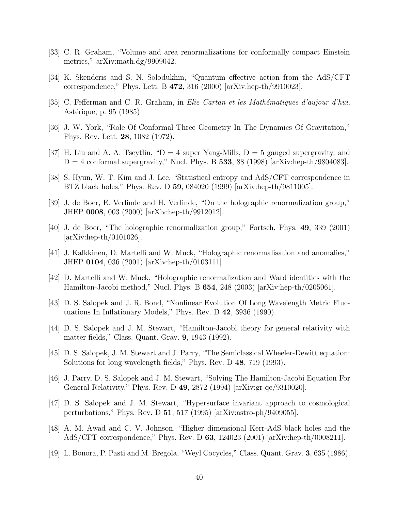- <span id="page-40-1"></span><span id="page-40-0"></span>[33] C. R. Graham, "Volume and area renormalizations for conformally compact Einstein metrics," arXiv:math.dg/9909042.
- <span id="page-40-2"></span>[34] K. Skenderis and S. N. Solodukhin, "Quantum effective action from the AdS/CFT correspondence," Phys. Lett. B 472, 316 (2000) [arXiv:hep-th/9910023].
- <span id="page-40-3"></span>[35] C. Fefferman and C. R. Graham, in *Elie Cartan et les Mathématiques d'aujour d'hui*, Astérique, p. 95 (1985)
- <span id="page-40-4"></span>[36] J. W. York, "Role Of Conformal Three Geometry In The Dynamics Of Gravitation," Phys. Rev. Lett. 28, 1082 (1972).
- <span id="page-40-5"></span>[37] H. Liu and A. A. Tseytlin, " $D = 4$  super Yang-Mills,  $D = 5$  gauged supergravity, and  $D = 4$  conformal supergravity," Nucl. Phys. B 533, 88 (1998) [arXiv:hep-th/9804083].
- [38] S. Hyun, W. T. Kim and J. Lee, "Statistical entropy and AdS/CFT correspondence in BTZ black holes," Phys. Rev. D 59, 084020 (1999) [arXiv:hep-th/9811005].
- <span id="page-40-7"></span><span id="page-40-6"></span>[39] J. de Boer, E. Verlinde and H. Verlinde, "On the holographic renormalization group," JHEP 0008, 003 (2000) [arXiv:hep-th/9912012].
- <span id="page-40-8"></span>[40] J. de Boer, "The holographic renormalization group," Fortsch. Phys. 49, 339 (2001) [arXiv:hep-th/0101026].
- [41] J. Kalkkinen, D. Martelli and W. Muck, "Holographic renormalisation and anomalies," JHEP 0104, 036 (2001) [arXiv:hep-th/0103111].
- <span id="page-40-9"></span>[42] D. Martelli and W. Muck, "Holographic renormalization and Ward identities with the Hamilton-Jacobi method," Nucl. Phys. B 654, 248 (2003) [arXiv:hep-th/0205061].
- <span id="page-40-10"></span>[43] D. S. Salopek and J. R. Bond, "Nonlinear Evolution Of Long Wavelength Metric Fluctuations In Inflationary Models," Phys. Rev. D 42, 3936 (1990).
- <span id="page-40-11"></span>[44] D. S. Salopek and J. M. Stewart, "Hamilton-Jacobi theory for general relativity with matter fields," Class. Quant. Grav. 9, 1943 (1992).
- <span id="page-40-12"></span>[45] D. S. Salopek, J. M. Stewart and J. Parry, "The Semiclassical Wheeler-Dewitt equation: Solutions for long wavelength fields," Phys. Rev. D 48, 719 (1993).
- <span id="page-40-13"></span>[46] J. Parry, D. S. Salopek and J. M. Stewart, "Solving The Hamilton-Jacobi Equation For General Relativity," Phys. Rev. D 49, 2872 (1994) [arXiv:gr-qc/9310020].
- <span id="page-40-14"></span>[47] D. S. Salopek and J. M. Stewart, "Hypersurface invariant approach to cosmological perturbations," Phys. Rev. D 51, 517 (1995) [arXiv:astro-ph/9409055].
- <span id="page-40-15"></span>[48] A. M. Awad and C. V. Johnson, "Higher dimensional Kerr-AdS black holes and the AdS/CFT correspondence," Phys. Rev. D 63, 124023 (2001) [arXiv:hep-th/0008211].
- <span id="page-40-16"></span>[49] L. Bonora, P. Pasti and M. Bregola, "Weyl Cocycles," Class. Quant. Grav. 3, 635 (1986).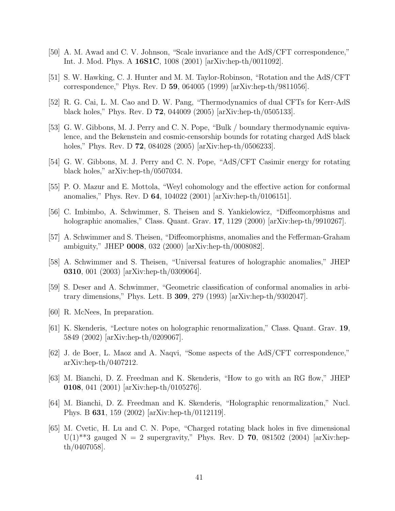- <span id="page-41-1"></span><span id="page-41-0"></span>[50] A. M. Awad and C. V. Johnson, "Scale invariance and the AdS/CFT correspondence," Int. J. Mod. Phys. A 16S1C, 1008 (2001) [arXiv:hep-th/0011092].
- [51] S. W. Hawking, C. J. Hunter and M. M. Taylor-Robinson, "Rotation and the AdS/CFT correspondence," Phys. Rev. D 59, 064005 (1999) [arXiv:hep-th/9811056].
- <span id="page-41-3"></span><span id="page-41-2"></span>[52] R. G. Cai, L. M. Cao and D. W. Pang, "Thermodynamics of dual CFTs for Kerr-AdS black holes," Phys. Rev. D 72, 044009 (2005) [arXiv:hep-th/0505133].
- [53] G. W. Gibbons, M. J. Perry and C. N. Pope, "Bulk / boundary thermodynamic equivalence, and the Bekenstein and cosmic-censorship bounds for rotating charged AdS black holes," Phys. Rev. D **72**, 084028 (2005) [arXiv:hep-th/0506233].
- <span id="page-41-5"></span><span id="page-41-4"></span>[54] G. W. Gibbons, M. J. Perry and C. N. Pope, "AdS/CFT Casimir energy for rotating black holes," arXiv:hep-th/0507034.
- <span id="page-41-6"></span>[55] P. O. Mazur and E. Mottola, "Weyl cohomology and the effective action for conformal anomalies," Phys. Rev. D 64, 104022 (2001) [arXiv:hep-th/0106151].
- <span id="page-41-7"></span>[56] C. Imbimbo, A. Schwimmer, S. Theisen and S. Yankielowicz, "Diffeomorphisms and holographic anomalies," Class. Quant. Grav. 17, 1129 (2000) [arXiv:hep-th/9910267].
- <span id="page-41-8"></span>[57] A. Schwimmer and S. Theisen, "Diffeomorphisms, anomalies and the Fefferman-Graham ambiguity," JHEP 0008, 032 (2000) [arXiv:hep-th/0008082].
- [58] A. Schwimmer and S. Theisen, "Universal features of holographic anomalies," JHEP 0310, 001 (2003) [arXiv:hep-th/0309064].
- <span id="page-41-10"></span><span id="page-41-9"></span>[59] S. Deser and A. Schwimmer, "Geometric classification of conformal anomalies in arbitrary dimensions," Phys. Lett. B 309, 279 (1993) [arXiv:hep-th/9302047].
- <span id="page-41-11"></span>[60] R. McNees, In preparation.
- <span id="page-41-12"></span>[61] K. Skenderis, "Lecture notes on holographic renormalization," Class. Quant. Grav. 19, 5849 (2002) [arXiv:hep-th/0209067].
- [62] J. de Boer, L. Maoz and A. Naqvi, "Some aspects of the AdS/CFT correspondence," arXiv:hep-th/0407212.
- <span id="page-41-13"></span>[63] M. Bianchi, D. Z. Freedman and K. Skenderis, "How to go with an RG flow," JHEP 0108, 041 (2001) [arXiv:hep-th/0105276].
- <span id="page-41-14"></span>[64] M. Bianchi, D. Z. Freedman and K. Skenderis, "Holographic renormalization," Nucl. Phys. B 631, 159 (2002) [arXiv:hep-th/0112119].
- <span id="page-41-15"></span>[65] M. Cvetic, H. Lu and C. N. Pope, "Charged rotating black holes in five dimensional  $U(1)$ <sup>\*\*</sup>3 gauged N = 2 supergravity," Phys. Rev. D **70**, 081502 (2004) [arXiv:hepth/0407058].